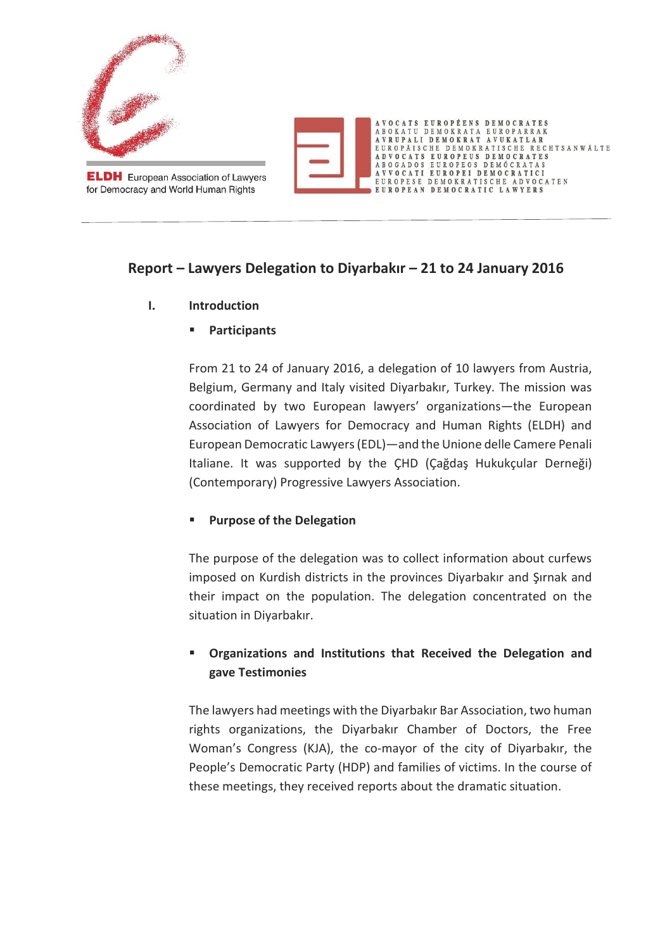

**ELDH** European Association of Lawyers for Democracy and World Human Rights



# **Report – Lawyers Delegation to Diyarbakır – 21 to 24 January 2016**

- **I. Introduction**
	- **Participants**

From 21 to 24 of January 2016, a delegation of 10 lawyers from Austria, Belgium, Germany and Italy visited Diyarbakır, Turkey. The mission was coordinated by two European lawyers' organizations—the European Association of Lawyers for Democracy and Human Rights (ELDH) and European Democratic Lawyers (EDL)—and the Unione delle Camere Penali Italiane. It was supported by the ÇHD (Çağdaş Hukukçular Derneği) (Contemporary) Progressive Lawyers Association.

# **Purpose of the Delegation**

The purpose of the delegation was to collect information about curfews imposed on Kurdish districts in the provinces Diyarbakır and Şırnak and their impact on the population. The delegation concentrated on the situation in Diyarbakır.

# **Organizations and Institutions that Received the Delegation and gave Testimonies**

The lawyers had meetings with the Diyarbakır Bar Association, two human rights organizations, the Diyarbakır Chamber of Doctors, the Free Woman's Congress (KJA), the co-mayor of the city of Diyarbakır, the People's Democratic Party (HDP) and families of victims. In the course of these meetings, they received reports about the dramatic situation.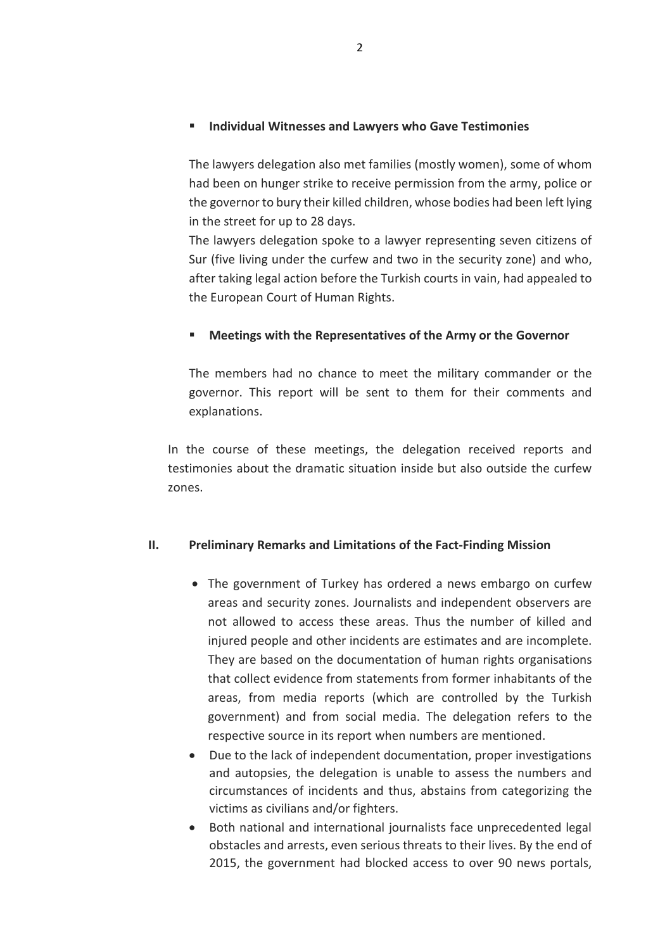### **Individual Witnesses and Lawyers who Gave Testimonies**

The lawyers delegation also met families (mostly women), some of whom had been on hunger strike to receive permission from the army, police or the governor to bury their killed children, whose bodies had been left lying in the street for up to 28 days.

The lawyers delegation spoke to a lawyer representing seven citizens of Sur (five living under the curfew and two in the security zone) and who, after taking legal action before the Turkish courts in vain, had appealed to the European Court of Human Rights.

### **Meetings with the Representatives of the Army or the Governor**

The members had no chance to meet the military commander or the governor. This report will be sent to them for their comments and explanations.

In the course of these meetings, the delegation received reports and testimonies about the dramatic situation inside but also outside the curfew zones.

### **II. Preliminary Remarks and Limitations of the Fact-Finding Mission**

- The government of Turkey has ordered a news embargo on curfew areas and security zones. Journalists and independent observers are not allowed to access these areas. Thus the number of killed and injured people and other incidents are estimates and are incomplete. They are based on the documentation of human rights organisations that collect evidence from statements from former inhabitants of the areas, from media reports (which are controlled by the Turkish government) and from social media. The delegation refers to the respective source in its report when numbers are mentioned.
- Due to the lack of independent documentation, proper investigations and autopsies, the delegation is unable to assess the numbers and circumstances of incidents and thus, abstains from categorizing the victims as civilians and/or fighters.
- Both national and international journalists face unprecedented legal obstacles and arrests, even serious threats to their lives. By the end of 2015, the government had blocked access to over 90 news portals,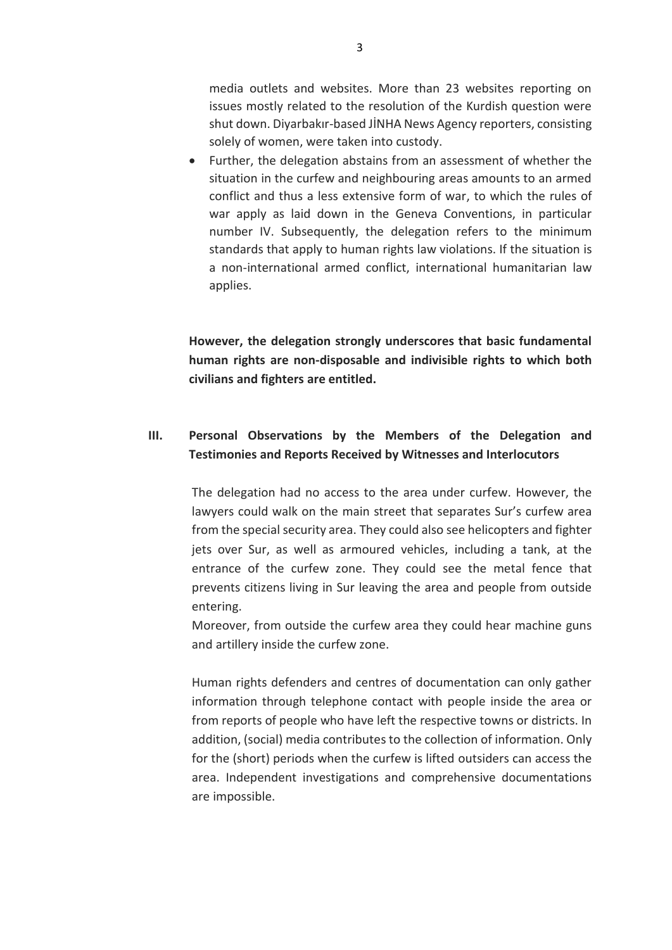media outlets and websites. More than 23 websites reporting on issues mostly related to the resolution of the Kurdish question were shut down. Diyarbakır-based JİNHA News Agency reporters, consisting solely of women, were taken into custody.

 Further, the delegation abstains from an assessment of whether the situation in the curfew and neighbouring areas amounts to an armed conflict and thus a less extensive form of war, to which the rules of war apply as laid down in the Geneva Conventions, in particular number IV. Subsequently, the delegation refers to the minimum standards that apply to human rights law violations. If the situation is a non-international armed conflict, international humanitarian law applies.

**However, the delegation strongly underscores that basic fundamental human rights are non-disposable and indivisible rights to which both civilians and fighters are entitled.** 

# **III. Personal Observations by the Members of the Delegation and Testimonies and Reports Received by Witnesses and Interlocutors**

The delegation had no access to the area under curfew. However, the lawyers could walk on the main street that separates Sur's curfew area from the special security area. They could also see helicopters and fighter jets over Sur, as well as armoured vehicles, including a tank, at the entrance of the curfew zone. They could see the metal fence that prevents citizens living in Sur leaving the area and people from outside entering.

Moreover, from outside the curfew area they could hear machine guns and artillery inside the curfew zone.

Human rights defenders and centres of documentation can only gather information through telephone contact with people inside the area or from reports of people who have left the respective towns or districts. In addition, (social) media contributes to the collection of information. Only for the (short) periods when the curfew is lifted outsiders can access the area. Independent investigations and comprehensive documentations are impossible.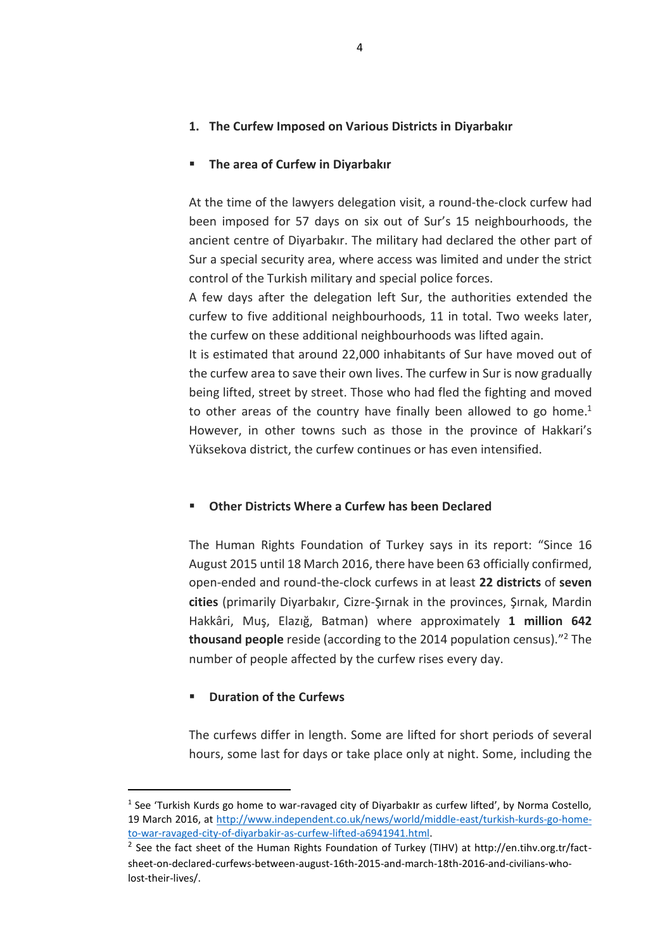### **1. The Curfew Imposed on Various Districts in Diyarbakır**

#### **The area of Curfew in Diyarbakır**

At the time of the lawyers delegation visit, a round-the-clock curfew had been imposed for 57 days on six out of Sur's 15 neighbourhoods, the ancient centre of Diyarbakır. The military had declared the other part of Sur a special security area, where access was limited and under the strict control of the Turkish military and special police forces.

A few days after the delegation left Sur, the authorities extended the curfew to five additional neighbourhoods, 11 in total. Two weeks later, the curfew on these additional neighbourhoods was lifted again.

It is estimated that around 22,000 inhabitants of Sur have moved out of the curfew area to save their own lives. The curfew in Sur is now gradually being lifted, street by street. Those who had fled the fighting and moved to other areas of the country have finally been allowed to go home.<sup>1</sup> However, in other towns such as those in the province of Hakkari's Yüksekova district, the curfew continues or has even intensified.

#### **Other Districts Where a Curfew has been Declared**

The Human Rights Foundation of Turkey says in its report: "Since 16 August 2015 until 18 March 2016, there have been 63 officially confirmed, open-ended and round-the-clock curfews in at least **22 districts** of **seven cities** (primarily Diyarbakır, Cizre-Şırnak in the provinces, Şırnak, Mardin Hakkâri, Muş, Elazığ, Batman) where approximately **1 million 642 thousand people** reside (according to the 2014 population census)." <sup>2</sup> The number of people affected by the curfew rises every day.

### **Duration of the Curfews**

 $\overline{a}$ 

The curfews differ in length. Some are lifted for short periods of several hours, some last for days or take place only at night. Some, including the

 $^1$  See 'Turkish Kurds go home to war-ravaged city of Diyarbakir as curfew lifted', by Norma Costello, 19 March 2016, at [http://www.independent.co.uk/news/world/middle-east/turkish-kurds-go-home](http://www.independent.co.uk/news/world/middle-east/turkish-kurds-go-home-to-war-ravaged-city-of-diyarbakir-as-curfew-lifted-a6941941.html)[to-war-ravaged-city-of-diyarbakir-as-curfew-lifted-a6941941.html.](http://www.independent.co.uk/news/world/middle-east/turkish-kurds-go-home-to-war-ravaged-city-of-diyarbakir-as-curfew-lifted-a6941941.html)

<sup>&</sup>lt;sup>2</sup> See the fact sheet of the Human Rights Foundation of Turkey (TIHV) at http://en.tihv.org.tr/factsheet-on-declared-curfews-between-august-16th-2015-and-march-18th-2016-and-civilians-wholost-their-lives/.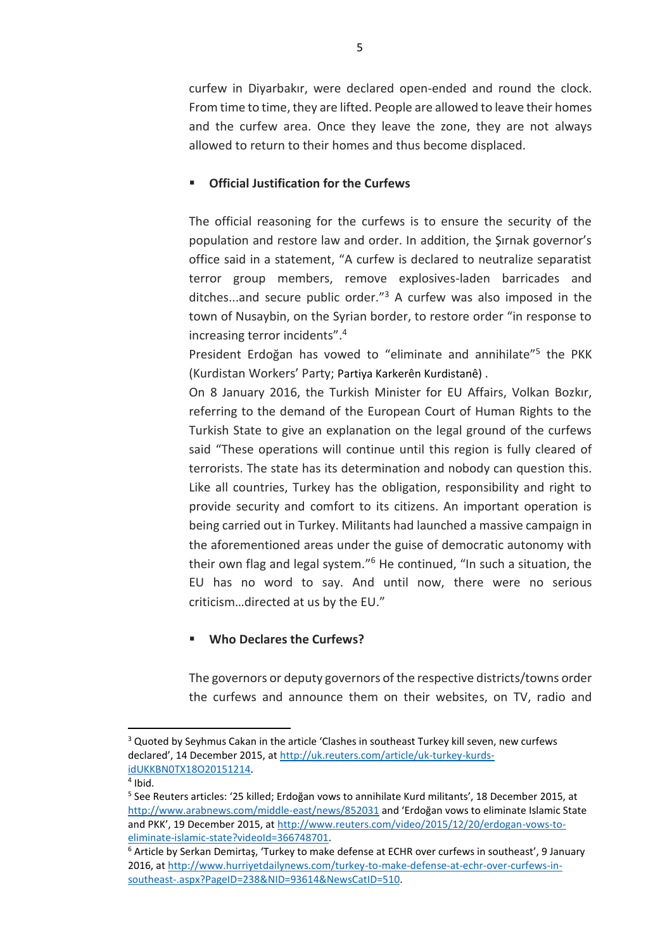curfew in Diyarbakır, were declared open-ended and round the clock. From time to time, they are lifted. People are allowed to leave their homes and the curfew area. Once they leave the zone, they are not always allowed to return to their homes and thus become displaced.

### **Official Justification for the Curfews**

The official reasoning for the curfews is to ensure the security of the population and restore law and order. In addition, the Şırnak governor's office said in a statement, "A curfew is declared to neutralize separatist terror group members, remove explosives-laden barricades and ditches...and secure public order."<sup>3</sup> A curfew was also imposed in the town of Nusaybin, on the Syrian border, to restore order "in response to increasing terror incidents". 4

President Erdoğan has vowed to "eliminate and annihilate"<sup>5</sup> the PKK (Kurdistan Workers' Party; Partiya Karkerên Kurdistanê) .

On 8 January 2016, the Turkish Minister for EU Affairs, Volkan Bozkır, referring to the demand of the European Court of Human Rights to the Turkish State to give an explanation on the legal ground of the curfews said "These operations will continue until this region is fully cleared of terrorists. The state has its determination and nobody can question this. Like all countries, Turkey has the obligation, responsibility and right to provide security and comfort to its citizens. An important operation is being carried out in Turkey. Militants had launched a massive campaign in the aforementioned areas under the guise of democratic autonomy with their own flag and legal system."<sup>6</sup> He continued, "In such a situation, the EU has no word to say. And until now, there were no serious criticism…directed at us by the EU."

# **Who Declares the Curfews?**

The governors or deputy governors of the respective districts/towns order the curfews and announce them on their websites, on TV, radio and

 $\overline{\phantom{a}}$ 

<sup>&</sup>lt;sup>3</sup> Quoted by Seyhmus Cakan in the article 'Clashes in southeast Turkey kill seven, new curfews declared', 14 December 2015, at [http://uk.reuters.com/article/uk-turkey-kurds](http://uk.reuters.com/article/uk-turkey-kurds-idUKKBN0TX18O20151214)[idUKKBN0TX18O20151214.](http://uk.reuters.com/article/uk-turkey-kurds-idUKKBN0TX18O20151214)

<sup>4</sup> Ibid.

<sup>5</sup> See Reuters articles: '25 killed; Erdoğan vows to annihilate Kurd militants', 18 December 2015, at <http://www.arabnews.com/middle-east/news/852031> and 'Erdoğan vows to eliminate Islamic State and PKK', 19 December 2015, at [http://www.reuters.com/video/2015/12/20/erdogan-vows-to](http://www.reuters.com/video/2015/12/20/erdogan-vows-to-eliminate-islamic-state?videoId=366748701)[eliminate-islamic-state?videoId=366748701.](http://www.reuters.com/video/2015/12/20/erdogan-vows-to-eliminate-islamic-state?videoId=366748701)

 $6$  Article by Serkan Demirtas, 'Turkey to make defense at ECHR over curfews in southeast', 9 January 2016, at [http://www.hurriyetdailynews.com/turkey-to-make-defense-at-echr-over-curfews-in](http://www.hurriyetdailynews.com/turkey-to-make-defense-at-echr-over-curfews-in-southeast-.aspx?PageID=238&NID=93614&NewsCatID=510)[southeast-.aspx?PageID=238&NID=93614&NewsCatID=510.](http://www.hurriyetdailynews.com/turkey-to-make-defense-at-echr-over-curfews-in-southeast-.aspx?PageID=238&NID=93614&NewsCatID=510)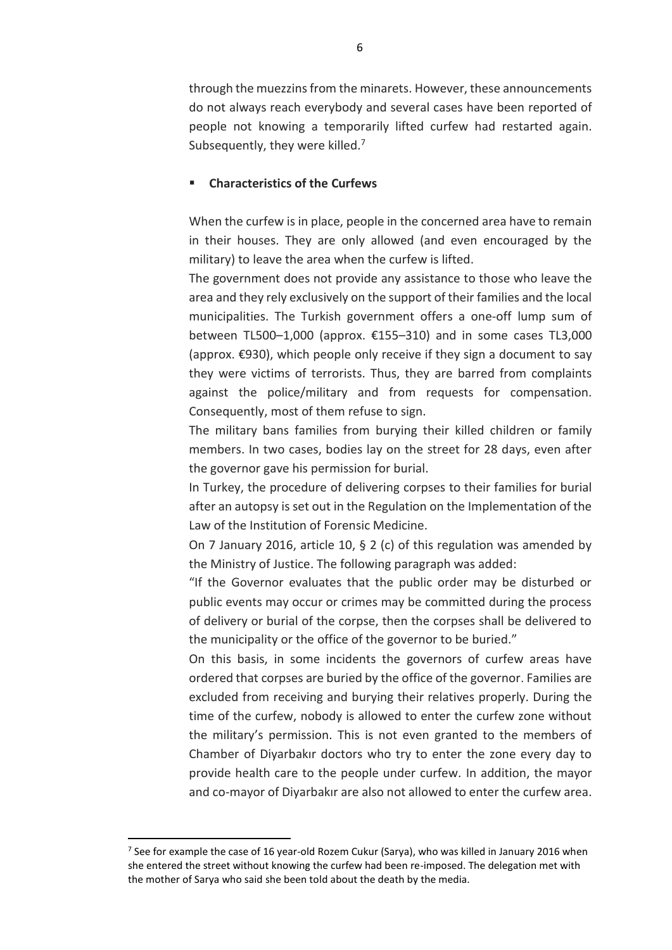through the muezzinsfrom the minarets. However, these announcements do not always reach everybody and several cases have been reported of people not knowing a temporarily lifted curfew had restarted again. Subsequently, they were killed.<sup>7</sup>

#### **Characteristics of the Curfews**

When the curfew is in place, people in the concerned area have to remain in their houses. They are only allowed (and even encouraged by the military) to leave the area when the curfew is lifted.

The government does not provide any assistance to those who leave the area and they rely exclusively on the support of their families and the local municipalities. The Turkish government offers a one-off lump sum of between TL500–1,000 (approx. €155–310) and in some cases TL3,000 (approx. €930), which people only receive if they sign a document to say they were victims of terrorists. Thus, they are barred from complaints against the police/military and from requests for compensation. Consequently, most of them refuse to sign.

The military bans families from burying their killed children or family members. In two cases, bodies lay on the street for 28 days, even after the governor gave his permission for burial.

In Turkey, the procedure of delivering corpses to their families for burial after an autopsy is set out in the Regulation on the Implementation of the Law of the Institution of Forensic Medicine.

On 7 January 2016, article 10, § 2 (c) of this regulation was amended by the Ministry of Justice. The following paragraph was added:

"If the Governor evaluates that the public order may be disturbed or public events may occur or crimes may be committed during the process of delivery or burial of the corpse, then the corpses shall be delivered to the municipality or the office of the governor to be buried."

On this basis, in some incidents the governors of curfew areas have ordered that corpses are buried by the office of the governor. Families are excluded from receiving and burying their relatives properly. During the time of the curfew, nobody is allowed to enter the curfew zone without the military's permission. This is not even granted to the members of Chamber of Diyarbakır doctors who try to enter the zone every day to provide health care to the people under curfew. In addition, the mayor and co-mayor of Diyarbakır are also not allowed to enter the curfew area.

l

<sup>&</sup>lt;sup>7</sup> See for example the case of 16 year-old Rozem Cukur (Sarya), who was killed in January 2016 when she entered the street without knowing the curfew had been re-imposed. The delegation met with the mother of Sarya who said she been told about the death by the media.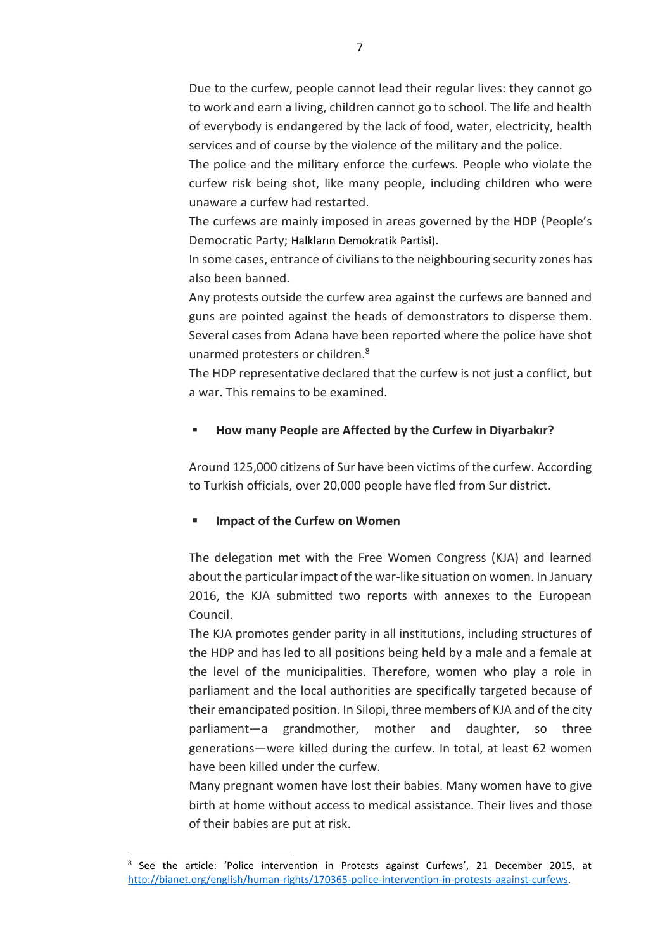Due to the curfew, people cannot lead their regular lives: they cannot go to work and earn a living, children cannot go to school. The life and health of everybody is endangered by the lack of food, water, electricity, health services and of course by the violence of the military and the police.

The police and the military enforce the curfews. People who violate the curfew risk being shot, like many people, including children who were unaware a curfew had restarted.

The curfews are mainly imposed in areas governed by the HDP (People's Democratic Party; Halkların Demokratik Partisi).

In some cases, entrance of civilians to the neighbouring security zones has also been banned.

Any protests outside the curfew area against the curfews are banned and guns are pointed against the heads of demonstrators to disperse them. Several cases from Adana have been reported where the police have shot unarmed protesters or children.<sup>8</sup>

The HDP representative declared that the curfew is not just a conflict, but a war. This remains to be examined.

# **How many People are Affected by the Curfew in Diyarbakır?**

Around 125,000 citizens of Sur have been victims of the curfew. According to Turkish officials, over 20,000 people have fled from Sur district.

# **Impact of the Curfew on Women**

 $\overline{\phantom{a}}$ 

The delegation met with the Free Women Congress (KJA) and learned about the particular impact of the war-like situation on women. In January 2016, the KJA submitted two reports with annexes to the European Council.

The KJA promotes gender parity in all institutions, including structures of the HDP and has led to all positions being held by a male and a female at the level of the municipalities. Therefore, women who play a role in parliament and the local authorities are specifically targeted because of their emancipated position. In Silopi, three members of KJA and of the city parliament—a grandmother, mother and daughter, so three generations—were killed during the curfew. In total, at least 62 women have been killed under the curfew.

Many pregnant women have lost their babies. Many women have to give birth at home without access to medical assistance. Their lives and those of their babies are put at risk.

<sup>&</sup>lt;sup>8</sup> See the article: 'Police intervention in Protests against Curfews', 21 December 2015, at [http://bianet.org/english/human-rights/170365-police-intervention-in-protests-against-curfews.](http://bianet.org/english/human-rights/170365-police-intervention-in-protests-against-curfews)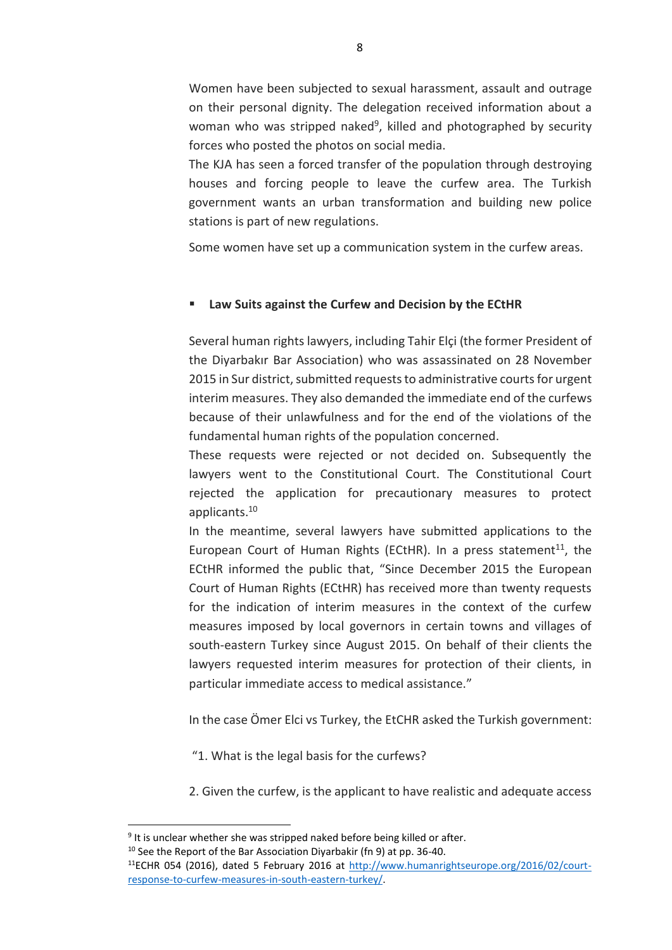Women have been subjected to sexual harassment, assault and outrage on their personal dignity. The delegation received information about a woman who was stripped naked<sup>9</sup>, killed and photographed by security forces who posted the photos on social media.

The KJA has seen a forced transfer of the population through destroying houses and forcing people to leave the curfew area. The Turkish government wants an urban transformation and building new police stations is part of new regulations.

Some women have set up a communication system in the curfew areas.

### **Law Suits against the Curfew and Decision by the ECtHR**

Several human rights lawyers, including Tahir Elçi (the former President of the Diyarbakır Bar Association) who was assassinated on 28 November 2015 in Sur district, submitted requests to administrative courts for urgent interim measures. They also demanded the immediate end of the curfews because of their unlawfulness and for the end of the violations of the fundamental human rights of the population concerned.

These requests were rejected or not decided on. Subsequently the lawyers went to the Constitutional Court. The Constitutional Court rejected the application for precautionary measures to protect applicants.<sup>10</sup>

In the meantime, several lawyers have submitted applications to the European Court of Human Rights (ECtHR). In a press statement $^{11}$ , the ECtHR informed the public that, "Since December 2015 the European Court of Human Rights (ECtHR) has received more than twenty requests for the indication of interim measures in the context of the curfew measures imposed by local governors in certain towns and villages of south-eastern Turkey since August 2015. On behalf of their clients the lawyers requested interim measures for protection of their clients, in particular immediate access to medical assistance."

In the case Ömer Elci vs Turkey, the EtCHR asked the Turkish government:

"1. What is the legal basis for the curfews?

2. Given the curfew, is the applicant to have realistic and adequate access

 $10$  See the Report of the Bar Association Divarbakir (fn 9) at pp. 36-40.

 $\overline{\phantom{a}}$ 

<sup>&</sup>lt;sup>9</sup> It is unclear whether she was stripped naked before being killed or after.

<sup>11</sup>ECHR 054 (2016), dated 5 February 2016 at [http://www.humanrightseurope.org/2016/02/court](http://www.humanrightseurope.org/2016/02/court-response-to-curfew-measures-in-south-eastern-turkey/)[response-to-curfew-measures-in-south-eastern-turkey/.](http://www.humanrightseurope.org/2016/02/court-response-to-curfew-measures-in-south-eastern-turkey/)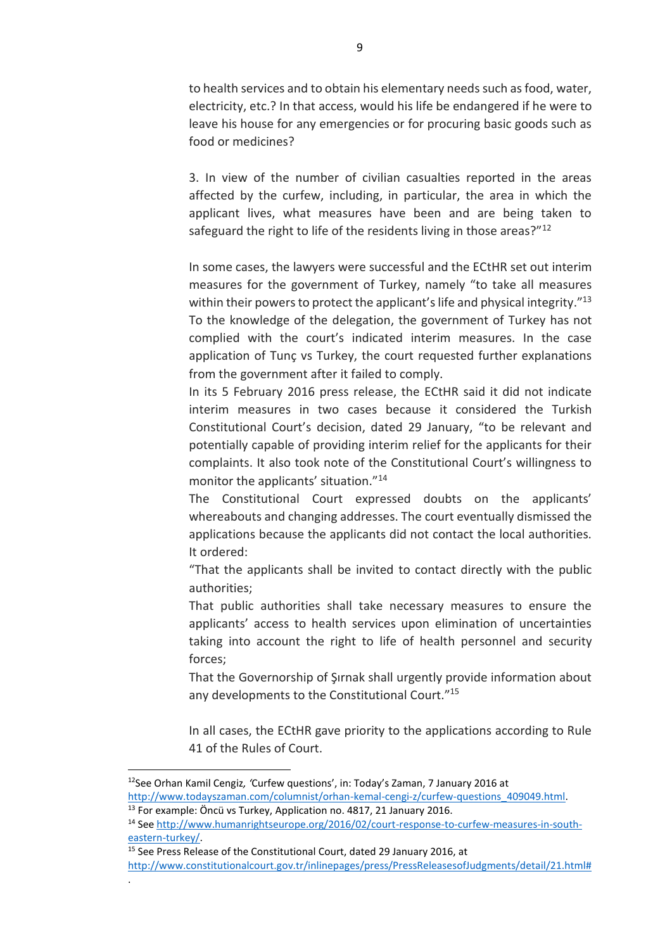to health services and to obtain his elementary needs such as food, water, electricity, etc.? In that access, would his life be endangered if he were to leave his house for any emergencies or for procuring basic goods such as food or medicines?

3. In view of the number of civilian casualties reported in the areas affected by the curfew, including, in particular, the area in which the applicant lives, what measures have been and are being taken to safeguard the right to life of the residents living in those areas?"<sup>12</sup>

In some cases, the lawyers were successful and the ECtHR set out interim measures for the government of Turkey, namely "to take all measures within their powers to protect the applicant's life and physical integrity."<sup>13</sup> To the knowledge of the delegation, the government of Turkey has not complied with the court's indicated interim measures. In the case application of Tunç vs Turkey, the court requested further explanations from the government after it failed to comply.

In its 5 February 2016 press release, the ECtHR said it did not indicate interim measures in two cases because it considered the Turkish Constitutional Court's decision, dated 29 January, "to be relevant and potentially capable of providing interim relief for the applicants for their complaints. It also took note of the Constitutional Court's willingness to monitor the applicants' situation."<sup>14</sup>

The Constitutional Court expressed doubts on the applicants' whereabouts and changing addresses. The court eventually dismissed the applications because the applicants did not contact the local authorities. It ordered:

"That the applicants shall be invited to contact directly with the public authorities;

That public authorities shall take necessary measures to ensure the applicants' access to health services upon elimination of uncertainties taking into account the right to life of health personnel and security forces;

That the Governorship of Şırnak shall urgently provide information about any developments to the Constitutional Court." 15

In all cases, the ECtHR gave priority to the applications according to Rule 41 of the Rules of Court.

 $\overline{\phantom{a}}$ 

.

<sup>15</sup> See Press Release of the Constitutional Court, dated 29 January 2016, at

<sup>12</sup>See Orhan Kamil Cengiz*, '*Curfew questions', in: Today's Zaman, 7 January 2016 at [http://www.todayszaman.com/columnist/orhan-kemal-cengi-z/curfew-questions\\_409049.html.](http://www.todayszaman.com/columnist/orhan-kemal-cengi-z/curfew-questions_409049.html)

<sup>&</sup>lt;sup>13</sup> For example: Öncü vs Turkey, Application no. 4817, 21 January 2016.

<sup>14</sup> See [http://www.humanrightseurope.org/2016/02/court-response-to-curfew-measures-in-south](http://www.humanrightseurope.org/2016/02/court-response-to-curfew-measures-in-south-eastern-turkey/)[eastern-turkey/.](http://www.humanrightseurope.org/2016/02/court-response-to-curfew-measures-in-south-eastern-turkey/)

[http://www.constitutionalcourt.gov.tr/inlinepages/press/PressReleasesofJudgments/detail/21.html#](http://www.constitutionalcourt.gov.tr/inlinepages/press/PressReleasesofJudgments/detail/21.html)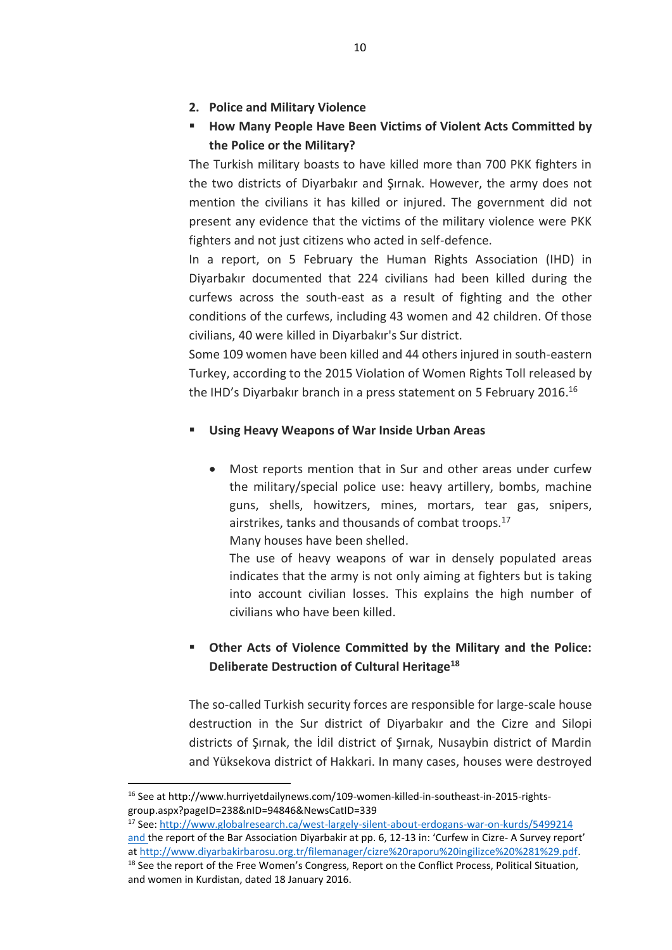- **2. Police and Military Violence**
- **How Many People Have Been Victims of Violent Acts Committed by the Police or the Military?**

The Turkish military boasts to have killed more than 700 PKK fighters in the two districts of Diyarbakır and Şırnak. However, the army does not mention the civilians it has killed or injured. The government did not present any evidence that the victims of the military violence were PKK fighters and not just citizens who acted in self-defence.

In a report, on 5 February the Human Rights Association (IHD) in Diyarbakır documented that 224 civilians had been killed during the curfews across the south-east as a result of fighting and the other conditions of the curfews, including 43 women and 42 children. Of those civilians, 40 were killed in Diyarbakır's Sur district.

Some 109 women have been killed and 44 others injured in south-eastern Turkey, according to the 2015 Violation of Women Rights Toll released by the IHD's Diyarbakır branch in a press statement on 5 February 2016.<sup>16</sup>

# **Using Heavy Weapons of War Inside Urban Areas**

 Most reports mention that in Sur and other areas under curfew the military/special police use: heavy artillery, bombs, machine guns, shells, howitzers, mines, mortars, tear gas, snipers, airstrikes, tanks and thousands of combat troops.<sup>17</sup> Many houses have been shelled.

The use of heavy weapons of war in densely populated areas indicates that the army is not only aiming at fighters but is taking into account civilian losses. This explains the high number of civilians who have been killed.

# **Other Acts of Violence Committed by the Military and the Police: Deliberate Destruction of Cultural Heritage<sup>18</sup>**

The so-called Turkish security forces are responsible for large-scale house destruction in the Sur district of Diyarbakır and the Cizre and Silopi districts of Şırnak, the İdil district of Şırnak, Nusaybin district of Mardin and Yüksekova district of Hakkari. In many cases, houses were destroyed

 $\overline{\phantom{a}}$ 

<sup>&</sup>lt;sup>16</sup> See at http://www.hurriyetdailynews.com/109-women-killed-in-southeast-in-2015-rightsgroup.aspx?pageID=238&nID=94846&NewsCatID=339

<sup>17</sup> See[: http://www.globalresearch.ca/west-largely-silent-about-erdogans-war-on-kurds/5499214](http://www.globalresearch.ca/west-largely-silent-about-erdogans-war-on-kurds/5499214) and the report of the Bar Association Diyarbakir at pp. 6, 12-13 in: 'Curfew in Cizre- A Survey report' at [http://www.diyarbakirbarosu.org.tr/filemanager/cizre%20raporu%20ingilizce%20%281%29.pdf.](http://www.diyarbakirbarosu.org.tr/filemanager/cizre%20raporu%20ingilizce%20%281%29.pdf) <sup>18</sup> See the report of the Free Women's Congress, Report on the Conflict Process, Political Situation, and women in Kurdistan, dated 18 January 2016.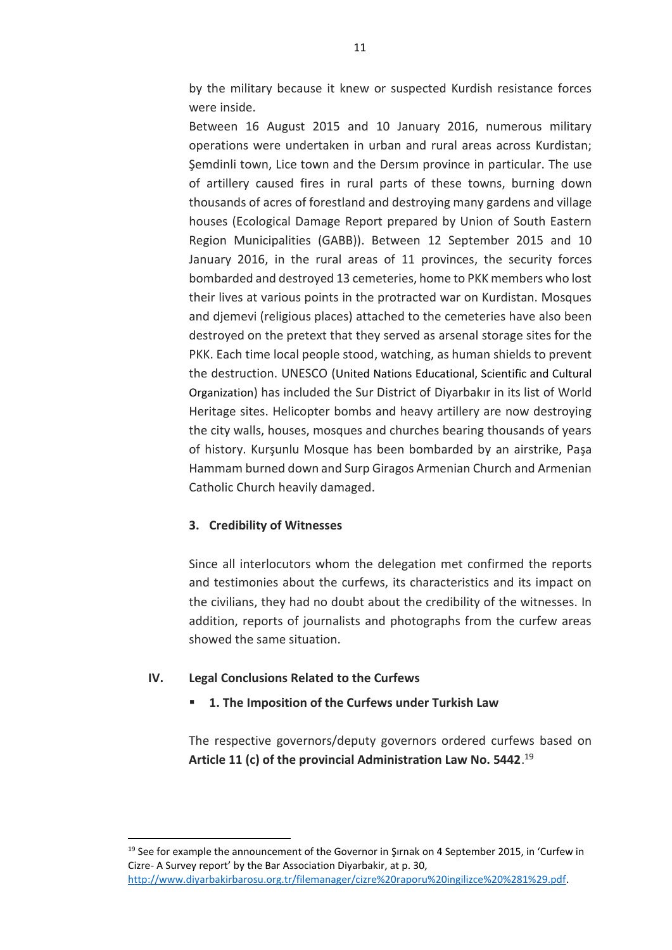by the military because it knew or suspected Kurdish resistance forces were inside.

Between 16 August 2015 and 10 January 2016, numerous military operations were undertaken in urban and rural areas across Kurdistan; Şemdinli town, Lice town and the Dersım province in particular. The use of artillery caused fires in rural parts of these towns, burning down thousands of acres of forestland and destroying many gardens and village houses (Ecological Damage Report prepared by Union of South Eastern Region Municipalities (GABB)). Between 12 September 2015 and 10 January 2016, in the rural areas of 11 provinces, the security forces bombarded and destroyed 13 cemeteries, home to PKK members who lost their lives at various points in the protracted war on Kurdistan. Mosques and diemevi (religious places) attached to the cemeteries have also been destroyed on the pretext that they served as arsenal storage sites for the PKK. Each time local people stood, watching, as human shields to prevent the destruction. UNESCO (United Nations Educational, Scientific and Cultural Organization) has included the Sur District of Diyarbakır in its list of World Heritage sites. Helicopter bombs and heavy artillery are now destroying the city walls, houses, mosques and churches bearing thousands of years of history. Kurşunlu Mosque has been bombarded by an airstrike, Paşa Hammam burned down and Surp Giragos Armenian Church and Armenian Catholic Church heavily damaged.

### **3. Credibility of Witnesses**

Since all interlocutors whom the delegation met confirmed the reports and testimonies about the curfews, its characteristics and its impact on the civilians, they had no doubt about the credibility of the witnesses. In addition, reports of journalists and photographs from the curfew areas showed the same situation.

#### **IV. Legal Conclusions Related to the Curfews**

l

### **1. The Imposition of the Curfews under Turkish Law**

The respective governors/deputy governors ordered curfews based on **Article 11 (c) of the provincial Administration Law No. 5442**. 19

 $19$  See for example the announcement of the Governor in Sirnak on 4 September 2015, in 'Curfew in Cizre- A Survey report' by the Bar Association Diyarbakir, at p. 30,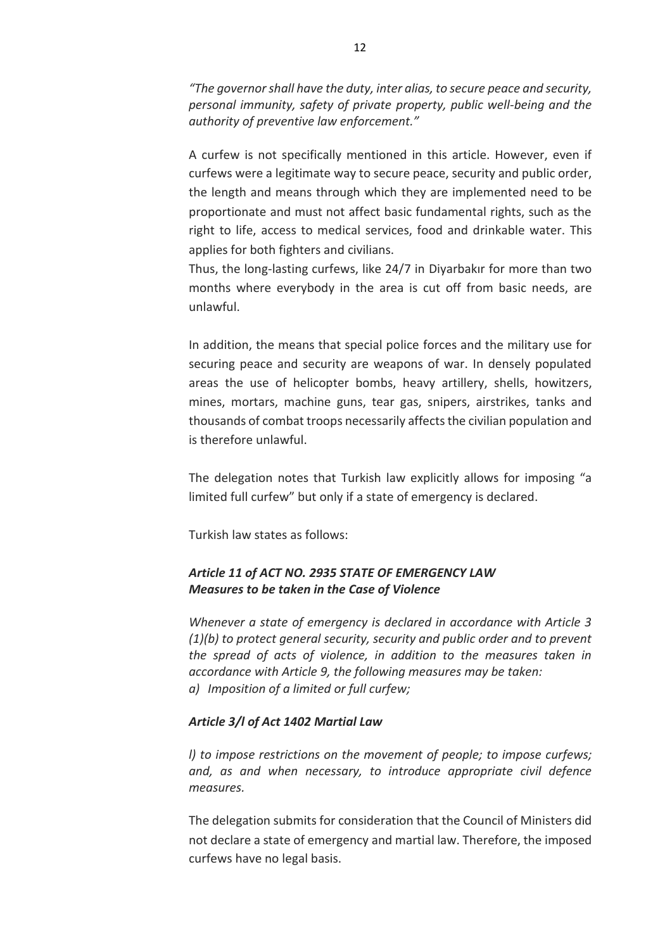*"The governor shall have the duty, inter alias, to secure peace and security, personal immunity, safety of private property, public well-being and the authority of preventive law enforcement."*

A curfew is not specifically mentioned in this article. However, even if curfews were a legitimate way to secure peace, security and public order, the length and means through which they are implemented need to be proportionate and must not affect basic fundamental rights, such as the right to life, access to medical services, food and drinkable water. This applies for both fighters and civilians.

Thus, the long-lasting curfews, like 24/7 in Diyarbakır for more than two months where everybody in the area is cut off from basic needs, are unlawful.

In addition, the means that special police forces and the military use for securing peace and security are weapons of war. In densely populated areas the use of helicopter bombs, heavy artillery, shells, howitzers, mines, mortars, machine guns, tear gas, snipers, airstrikes, tanks and thousands of combat troops necessarily affects the civilian population and is therefore unlawful.

The delegation notes that Turkish law explicitly allows for imposing "a limited full curfew" but only if a state of emergency is declared.

Turkish law states as follows:

# *Article 11 of ACT NO. 2935 STATE OF EMERGENCY LAW Measures to be taken in the Case of Violence*

*Whenever a state of emergency is declared in accordance with Article 3 (1)(b) to protect general security, security and public order and to prevent the spread of acts of violence, in addition to the measures taken in accordance with Article 9, the following measures may be taken: a) Imposition of a limited or full curfew;*

### *Article 3/l of Act 1402 Martial Law*

*l) to impose restrictions on the movement of people; to impose curfews; and, as and when necessary, to introduce appropriate civil defence measures.*

The delegation submits for consideration that the Council of Ministers did not declare a state of emergency and martial law. Therefore, the imposed curfews have no legal basis.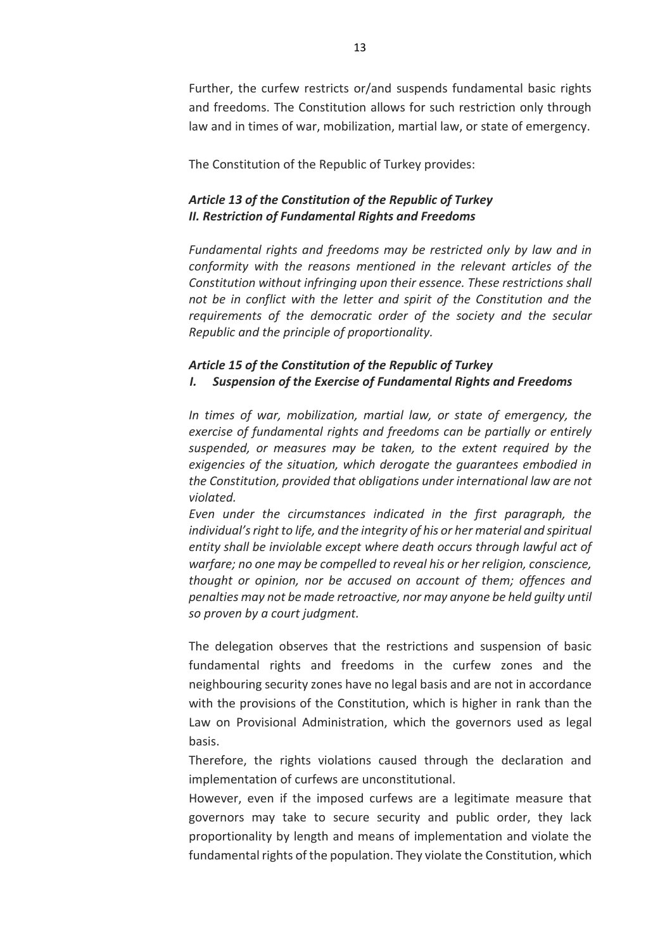Further, the curfew restricts or/and suspends fundamental basic rights and freedoms. The Constitution allows for such restriction only through law and in times of war, mobilization, martial law, or state of emergency.

The Constitution of the Republic of Turkey provides:

# *Article 13 of the Constitution of the Republic of Turkey II. Restriction of Fundamental Rights and Freedoms*

*Fundamental rights and freedoms may be restricted only by law and in conformity with the reasons mentioned in the relevant articles of the Constitution without infringing upon their essence. These restrictions shall not be in conflict with the letter and spirit of the Constitution and the requirements of the democratic order of the society and the secular Republic and the principle of proportionality.*

# *Article 15 of the Constitution of the Republic of Turkey I. Suspension of the Exercise of Fundamental Rights and Freedoms*

*In times of war, mobilization, martial law, or state of emergency, the exercise of fundamental rights and freedoms can be partially or entirely suspended, or measures may be taken, to the extent required by the exigencies of the situation, which derogate the guarantees embodied in the Constitution, provided that obligations under international law are not violated.*

*Even under the circumstances indicated in the first paragraph, the individual's right to life, and the integrity of his or her material and spiritual entity shall be inviolable except where death occurs through lawful act of warfare; no one may be compelled to reveal his or her religion, conscience, thought or opinion, nor be accused on account of them; offences and penalties may not be made retroactive, nor may anyone be held guilty until so proven by a court judgment.*

The delegation observes that the restrictions and suspension of basic fundamental rights and freedoms in the curfew zones and the neighbouring security zones have no legal basis and are not in accordance with the provisions of the Constitution, which is higher in rank than the Law on Provisional Administration, which the governors used as legal basis.

Therefore, the rights violations caused through the declaration and implementation of curfews are unconstitutional.

However, even if the imposed curfews are a legitimate measure that governors may take to secure security and public order, they lack proportionality by length and means of implementation and violate the fundamental rights of the population. They violate the Constitution, which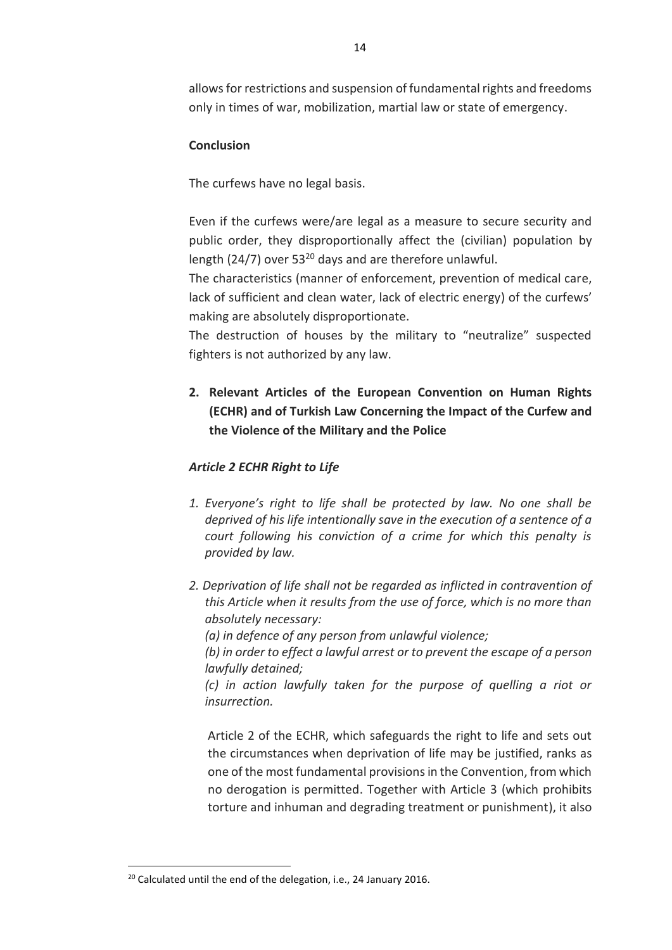allows for restrictions and suspension of fundamental rights and freedoms only in times of war, mobilization, martial law or state of emergency.

## **Conclusion**

The curfews have no legal basis.

Even if the curfews were/are legal as a measure to secure security and public order, they disproportionally affect the (civilian) population by length (24/7) over  $53^{20}$  days and are therefore unlawful.

The characteristics (manner of enforcement, prevention of medical care, lack of sufficient and clean water, lack of electric energy) of the curfews' making are absolutely disproportionate.

The destruction of houses by the military to "neutralize" suspected fighters is not authorized by any law.

**2. Relevant Articles of the European Convention on Human Rights (ECHR) and of Turkish Law Concerning the Impact of the Curfew and the Violence of the Military and the Police**

## *Article 2 ECHR Right to Life*

- *1. Everyone's right to life shall be protected by law. No one shall be deprived of his life intentionally save in the execution of a sentence of a court following his conviction of a crime for which this penalty is provided by law.*
- *2. Deprivation of life shall not be regarded as inflicted in contravention of this Article when it results from the use of force, which is no more than absolutely necessary: (a) in defence of any person from unlawful violence; (b) in order to effect a lawful arrest or to prevent the escape of a person lawfully detained; (c) in action lawfully taken for the purpose of quelling a riot or insurrection.*

Article 2 of the ECHR, which safeguards the right to life and sets out the circumstances when deprivation of life may be justified, ranks as one of the most fundamental provisions in the Convention, from which no derogation is permitted. Together with Article 3 (which prohibits torture and inhuman and degrading treatment or punishment), it also

 $\overline{\phantom{a}}$ 

<sup>&</sup>lt;sup>20</sup> Calculated until the end of the delegation, i.e., 24 January 2016.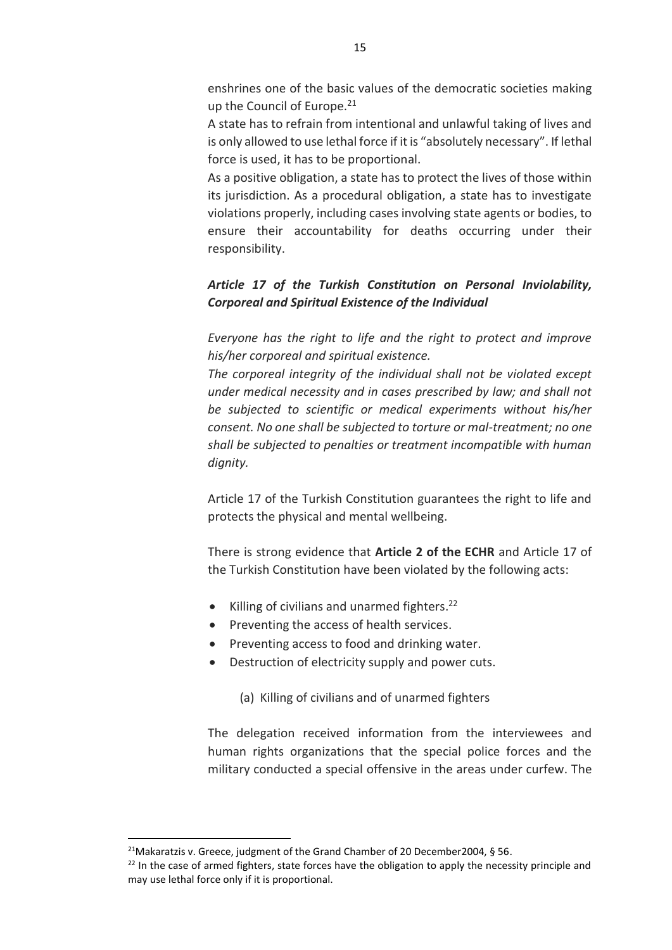enshrines one of the basic values of the democratic societies making up the Council of Europe.<sup>21</sup>

A state has to refrain from intentional and unlawful taking of lives and is only allowed to use lethal force if it is "absolutely necessary". If lethal force is used, it has to be proportional.

As a positive obligation, a state has to protect the lives of those within its jurisdiction. As a procedural obligation, a state has to investigate violations properly, including cases involving state agents or bodies, to ensure their accountability for deaths occurring under their responsibility.

# *Article 17 of the Turkish Constitution on Personal Inviolability, Corporeal and Spiritual Existence of the Individual*

*Everyone has the right to life and the right to protect and improve his/her corporeal and spiritual existence.* 

*The corporeal integrity of the individual shall not be violated except under medical necessity and in cases prescribed by law; and shall not be subjected to scientific or medical experiments without his/her consent. No one shall be subjected to torture or mal-treatment; no one shall be subjected to penalties or treatment incompatible with human dignity.*

Article 17 of the Turkish Constitution guarantees the right to life and protects the physical and mental wellbeing.

There is strong evidence that **Article 2 of the ECHR** and Article 17 of the Turkish Constitution have been violated by the following acts:

- Killing of civilians and unarmed fighters.<sup>22</sup>
- Preventing the access of health services.
- Preventing access to food and drinking water.
- Destruction of electricity supply and power cuts.

(a) Killing of civilians and of unarmed fighters

The delegation received information from the interviewees and human rights organizations that the special police forces and the military conducted a special offensive in the areas under curfew. The

l

<sup>&</sup>lt;sup>21</sup>Makaratzis v. Greece, judgment of the Grand Chamber of 20 December 2004, § 56.

<sup>&</sup>lt;sup>22</sup> In the case of armed fighters, state forces have the obligation to apply the necessity principle and may use lethal force only if it is proportional.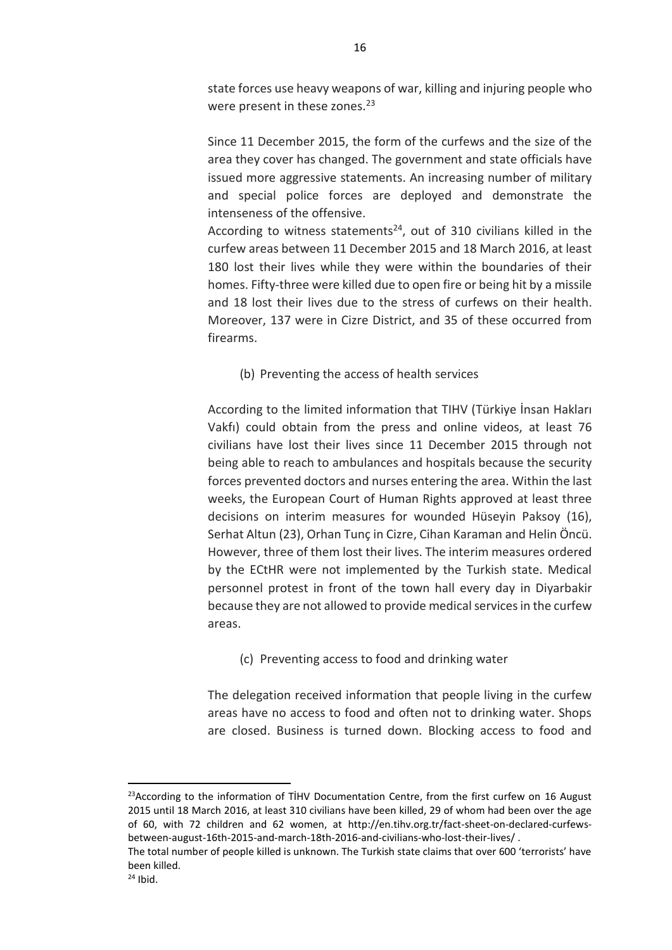state forces use heavy weapons of war, killing and injuring people who were present in these zones.<sup>23</sup>

Since 11 December 2015, the form of the curfews and the size of the area they cover has changed. The government and state officials have issued more aggressive statements. An increasing number of military and special police forces are deployed and demonstrate the intenseness of the offensive.

According to witness statements<sup>24</sup>, out of 310 civilians killed in the curfew areas between 11 December 2015 and 18 March 2016, at least 180 lost their lives while they were within the boundaries of their homes. Fifty-three were killed due to open fire or being hit by a missile and 18 lost their lives due to the stress of curfews on their health. Moreover, 137 were in Cizre District, and 35 of these occurred from firearms.

(b) Preventing the access of health services

According to the limited information that TIHV (Türkiye İnsan Hakları Vakfı) could obtain from the press and online videos, at least 76 civilians have lost their lives since 11 December 2015 through not being able to reach to ambulances and hospitals because the security forces prevented doctors and nurses entering the area. Within the last weeks, the European Court of Human Rights approved at least three decisions on interim measures for wounded Hüseyin Paksoy (16), Serhat Altun (23), Orhan Tunç in Cizre, Cihan Karaman and Helin Öncü. However, three of them lost their lives. The interim measures ordered by the ECtHR were not implemented by the Turkish state. Medical personnel protest in front of the town hall every day in Diyarbakir because they are not allowed to provide medical services in the curfew areas.

(c) Preventing access to food and drinking water

The delegation received information that people living in the curfew areas have no access to food and often not to drinking water. Shops are closed. Business is turned down. Blocking access to food and

 $\overline{\phantom{a}}$ 

 $23$ According to the information of TİHV Documentation Centre, from the first curfew on 16 August 2015 until 18 March 2016, at least 310 civilians have been killed, 29 of whom had been over the age of 60, with 72 children and 62 women, at http://en.tihv.org.tr/fact-sheet-on-declared-curfewsbetween-august-16th-2015-and-march-18th-2016-and-civilians-who-lost-their-lives/ .

The total number of people killed is unknown. The Turkish state claims that over 600 'terrorists' have been killed.

 $24$  Ibid.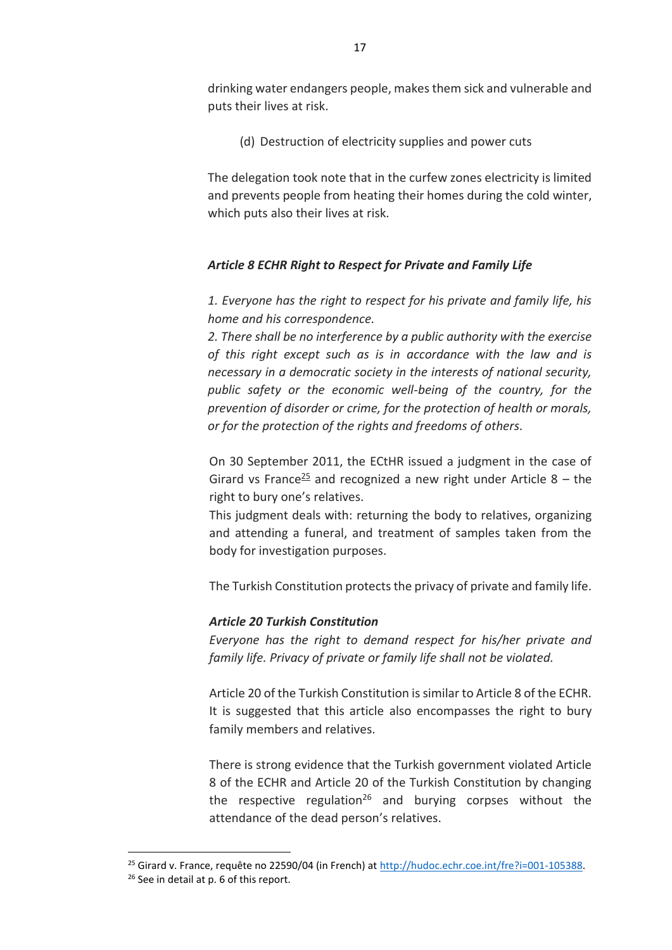drinking water endangers people, makes them sick and vulnerable and puts their lives at risk.

(d) Destruction of electricity supplies and power cuts

The delegation took note that in the curfew zones electricity is limited and prevents people from heating their homes during the cold winter, which puts also their lives at risk.

# *Article 8 ECHR Right to Respect for Private and Family Life*

*1. Everyone has the right to respect for his private and family life, his home and his correspondence.*

*2. There shall be no interference by a public authority with the exercise of this right except such as is in accordance with the law and is necessary in a democratic society in the interests of national security, public safety or the economic well-being of the country, for the prevention of disorder or crime, for the protection of health or morals, or for the protection of the rights and freedoms of others.*

On 30 September 2011, the ECtHR issued a judgment in the case of Girard vs France<sup>25</sup> and recognized a new right under Article  $8 -$  the right to bury one's relatives.

This judgment deals with: returning the body to relatives, organizing and attending a funeral, and treatment of samples taken from the body for investigation purposes.

The Turkish Constitution protects the privacy of private and family life.

# *Article 20 Turkish Constitution*

 $\overline{\phantom{a}}$ 

*Everyone has the right to demand respect for his/her private and family life. Privacy of private or family life shall not be violated.* 

Article 20 of the Turkish Constitution is similar to Article 8 of the ECHR. It is suggested that this article also encompasses the right to bury family members and relatives.

There is strong evidence that the Turkish government violated Article 8 of the ECHR and Article 20 of the Turkish Constitution by changing the respective regulation<sup>26</sup> and burving corpses without the attendance of the dead person's relatives.

<sup>&</sup>lt;sup>25</sup> Girard v. France, requête no 22590/04 (in French) at http://hudoc.echr.coe.int/fre?i=001-105388. <sup>26</sup> See in detail at p. 6 of this report.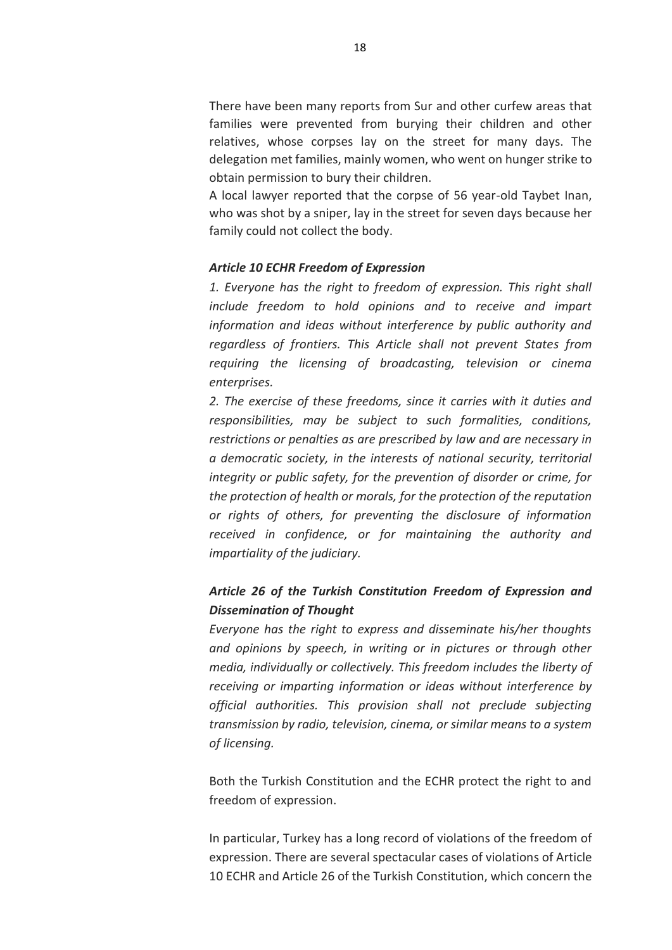There have been many reports from Sur and other curfew areas that families were prevented from burying their children and other relatives, whose corpses lay on the street for many days. The delegation met families, mainly women, who went on hunger strike to obtain permission to bury their children.

A local lawyer reported that the corpse of 56 year-old Taybet Inan, who was shot by a sniper, lay in the street for seven days because her family could not collect the body.

#### *Article 10 ECHR Freedom of Expression*

*1. Everyone has the right to freedom of expression. This right shall include freedom to hold opinions and to receive and impart information and ideas without interference by public authority and regardless of frontiers. This Article shall not prevent States from requiring the licensing of broadcasting, television or cinema enterprises.* 

*2. The exercise of these freedoms, since it carries with it duties and responsibilities, may be subject to such formalities, conditions, restrictions or penalties as are prescribed by law and are necessary in a democratic society, in the interests of national security, territorial integrity or public safety, for the prevention of disorder or crime, for the protection of health or morals, for the protection of the reputation or rights of others, for preventing the disclosure of information received in confidence, or for maintaining the authority and impartiality of the judiciary.*

# *Article 26 of the Turkish Constitution Freedom of Expression and Dissemination of Thought*

*Everyone has the right to express and disseminate his/her thoughts and opinions by speech, in writing or in pictures or through other media, individually or collectively. This freedom includes the liberty of receiving or imparting information or ideas without interference by official authorities. This provision shall not preclude subjecting transmission by radio, television, cinema, or similar means to a system of licensing.*

Both the Turkish Constitution and the ECHR protect the right to and freedom of expression.

In particular, Turkey has a long record of violations of the freedom of expression. There are several spectacular cases of violations of Article 10 ECHR and Article 26 of the Turkish Constitution, which concern the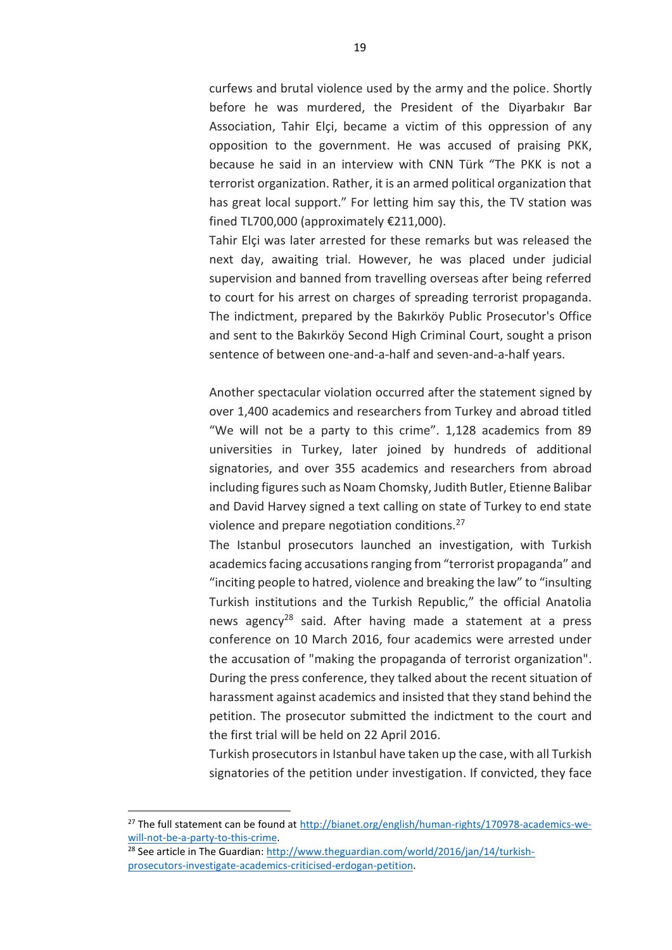curfews and brutal violence used by the army and the police. Shortly before he was murdered, the President of the Diyarbakır Bar Association, Tahir Elçi, became a victim of this oppression of any opposition to the government. He was accused of praising PKK, because he said in an interview with CNN Türk "The PKK is not a terrorist organization. Rather, it is an armed political organization that has great local support." For letting him say this, the TV station was fined TL700,000 (approximately €211,000).

Tahir Elçi was later arrested for these remarks but was released the next day, awaiting trial. However, he was placed under judicial supervision and banned from travelling overseas after being referred to court for his arrest on charges of spreading terrorist propaganda. The indictment, prepared by the Bakırköy Public Prosecutor's Office and sent to the Bakırköy Second High Criminal Court, sought a prison sentence of between one-and-a-half and seven-and-a-half years.

Another spectacular violation occurred after the statement signed by over 1,400 academics and researchers from Turkey and abroad titled "We will not be a party to this crime". 1,128 academics from 89 universities in Turkey, later joined by hundreds of additional signatories, and over 355 academics and researchers from abroad including figures such as Noam Chomsky, Judith Butler, Etienne Balibar and David Harvey signed a text calling on state of Turkey to end state violence and prepare negotiation conditions.<sup>27</sup>

The Istanbul prosecutors launched an investigation, with Turkish academics facing accusations ranging from "terrorist propaganda" and "inciting people to hatred, violence and breaking the law" to "insulting Turkish institutions and the Turkish Republic," the official Anatolia news agency<sup>28</sup> said. After having made a statement at a press conference on 10 March 2016, four academics were arrested under the accusation of "making the propaganda of terrorist organization". During the press conference, they talked about the recent situation of harassment against academics and insisted that they stand behind the petition. The prosecutor submitted the indictment to the court and the first trial will be held on 22 April 2016.

Turkish prosecutors in Istanbul have taken up the case, with all Turkish signatories of the petition under investigation. If convicted, they face

 $\overline{a}$ 

<sup>27</sup> The full statement can be found at [http://bianet.org/english/human-rights/170978-academics-we](http://bianet.org/english/human-rights/170978-academics-we-will-not-be-a-party-to-this-crime)[will-not-be-a-party-to-this-crime.](http://bianet.org/english/human-rights/170978-academics-we-will-not-be-a-party-to-this-crime) 

<sup>28</sup> See article in The Guardian: [http://www.theguardian.com/world/2016/jan/14/turkish](http://www.theguardian.com/world/2016/jan/14/turkish-prosecutors-investigate-academics-criticised-erdogan-petition)[prosecutors-investigate-academics-criticised-erdogan-petition.](http://www.theguardian.com/world/2016/jan/14/turkish-prosecutors-investigate-academics-criticised-erdogan-petition)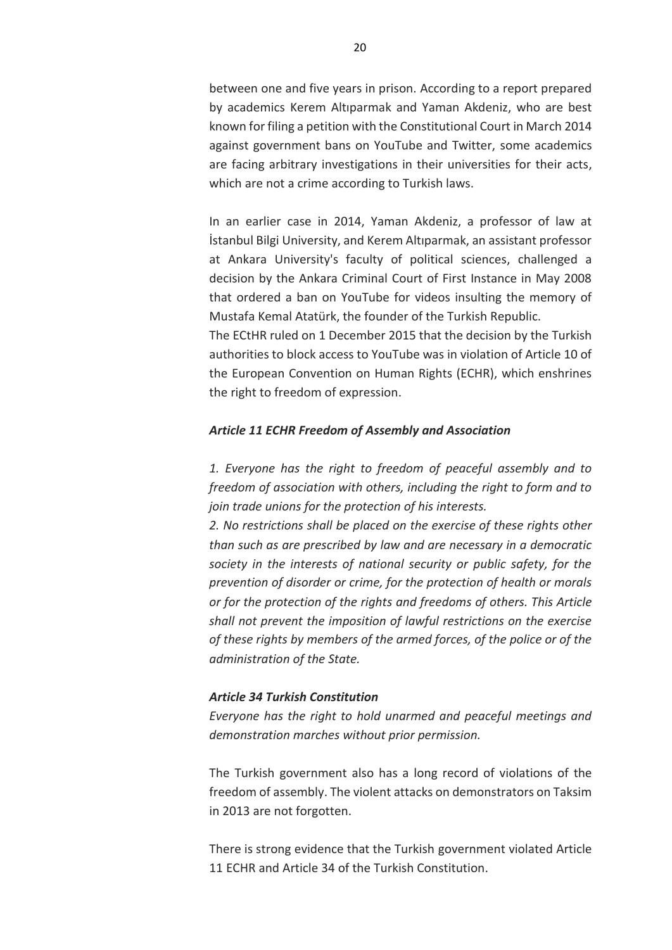between one and five years in prison. According to a report prepared by academics Kerem Altıparmak and Yaman Akdeniz, who are best known for filing a petition with the Constitutional Court in March 2014 against government bans on YouTube and Twitter, some academics are facing arbitrary investigations in their universities for their acts, which are not a crime according to Turkish laws.

In an earlier case in 2014, Yaman Akdeniz, a professor of law at İstanbul Bilgi University, and Kerem Altıparmak, an assistant professor at Ankara University's faculty of political sciences, challenged a decision by the Ankara Criminal Court of First Instance in May 2008 that ordered a ban on YouTube for videos insulting the memory of Mustafa Kemal Atatürk, the founder of the Turkish Republic.

The ECtHR ruled on 1 December 2015 that the decision by the Turkish authorities to block access to YouTube was in violation of Article 10 of the European Convention on Human Rights (ECHR), which enshrines the right to freedom of expression.

#### *Article 11 ECHR Freedom of Assembly and Association*

*1. Everyone has the right to freedom of peaceful assembly and to freedom of association with others, including the right to form and to join trade unions for the protection of his interests.* 

*2. No restrictions shall be placed on the exercise of these rights other than such as are prescribed by law and are necessary in a democratic society in the interests of national security or public safety, for the prevention of disorder or crime, for the protection of health or morals or for the protection of the rights and freedoms of others. This Article shall not prevent the imposition of lawful restrictions on the exercise of these rights by members of the armed forces, of the police or of the administration of the State.*

#### *Article 34 Turkish Constitution*

*Everyone has the right to hold unarmed and peaceful meetings and demonstration marches without prior permission.*

The Turkish government also has a long record of violations of the freedom of assembly. The violent attacks on demonstrators on Taksim in 2013 are not forgotten.

There is strong evidence that the Turkish government violated Article 11 ECHR and Article 34 of the Turkish Constitution.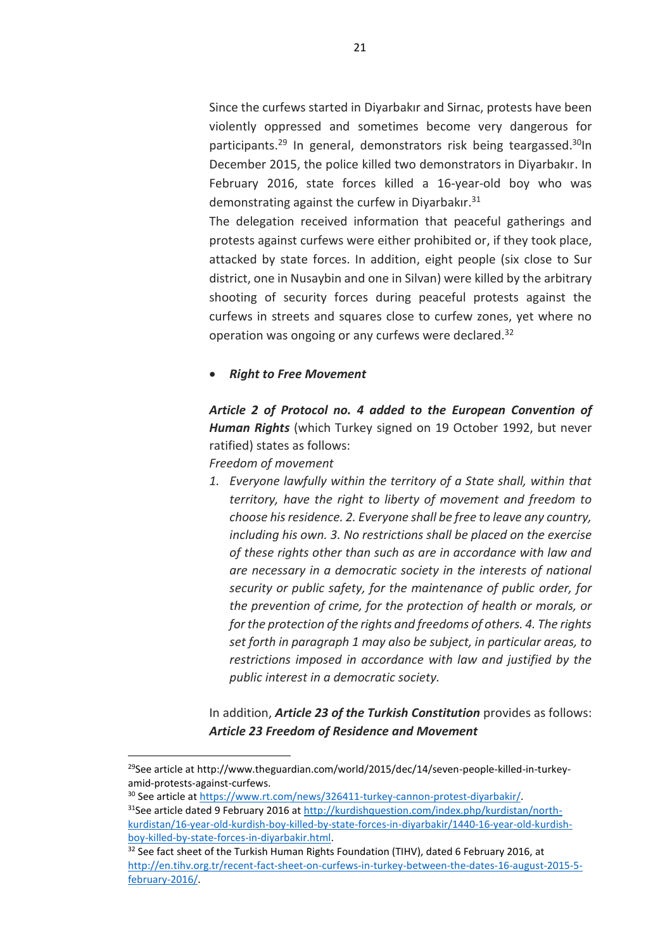Since the curfews started in Diyarbakır and Sirnac, protests have been violently oppressed and sometimes become very dangerous for participants.<sup>29</sup> In general, demonstrators risk being teargassed.<sup>30</sup>In December 2015, the police killed two demonstrators in Diyarbakır. In February 2016, state forces killed a 16-year-old boy who was demonstrating against the curfew in Diyarbakır.<sup>31</sup>

The delegation received information that peaceful gatherings and protests against curfews were either prohibited or, if they took place, attacked by state forces. In addition, eight people (six close to Sur district, one in Nusaybin and one in Silvan) were killed by the arbitrary shooting of security forces during peaceful protests against the curfews in streets and squares close to curfew zones, yet where no operation was ongoing or any curfews were declared.<sup>32</sup>

### *Right to Free Movement*

*Article 2 of Protocol no. 4 added to the European Convention of Human Rights* (which Turkey signed on 19 October 1992, but never ratified) states as follows:

*Freedom of movement* 

 $\overline{a}$ 

*1. Everyone lawfully within the territory of a State shall, within that territory, have the right to liberty of movement and freedom to choose his residence. 2. Everyone shall be free to leave any country, including his own. 3. No restrictions shall be placed on the exercise of these rights other than such as are in accordance with law and are necessary in a democratic society in the interests of national security or public safety, for the maintenance of public order, for the prevention of crime, for the protection of health or morals, or for the protection of the rights and freedoms of others. 4. The rights set forth in paragraph 1 may also be subject, in particular areas, to restrictions imposed in accordance with law and justified by the public interest in a democratic society.*

In addition, *Article 23 of the Turkish Constitution* provides as follows: *Article 23 Freedom of Residence and Movement*

<sup>29</sup>See article at http://www.theguardian.com/world/2015/dec/14/seven-people-killed-in-turkeyamid-protests-against-curfews.

<sup>30</sup> See article at [https://www.rt.com/news/326411-turkey-cannon-protest-diyarbakir/.](https://www.rt.com/news/326411-turkey-cannon-protest-diyarbakir/) 31See article dated 9 February 2016 at [http://kurdishquestion.com/index.php/kurdistan/north](http://kurdishquestion.com/index.php/kurdistan/north-kurdistan/16-year-old-kurdish-boy-killed-by-state-forces-in-diyarbakir/1440-16-year-old-kurdish-boy-killed-by-state-forces-in-diyarbakir.html)[kurdistan/16-year-old-kurdish-boy-killed-by-state-forces-in-diyarbakir/1440-16-year-old-kurdish](http://kurdishquestion.com/index.php/kurdistan/north-kurdistan/16-year-old-kurdish-boy-killed-by-state-forces-in-diyarbakir/1440-16-year-old-kurdish-boy-killed-by-state-forces-in-diyarbakir.html)[boy-killed-by-state-forces-in-diyarbakir.html.](http://kurdishquestion.com/index.php/kurdistan/north-kurdistan/16-year-old-kurdish-boy-killed-by-state-forces-in-diyarbakir/1440-16-year-old-kurdish-boy-killed-by-state-forces-in-diyarbakir.html) 

 $32$  See fact sheet of the Turkish Human Rights Foundation (TIHV), dated 6 February 2016, at [http://en.tihv.org.tr/recent-fact-sheet-on-curfews-in-turkey-between-the-dates-16-august-2015-5](http://en.tihv.org.tr/recent-fact-sheet-on-curfews-in-turkey-between-the-dates-16-august-2015-5-february-2016/) [february-2016/.](http://en.tihv.org.tr/recent-fact-sheet-on-curfews-in-turkey-between-the-dates-16-august-2015-5-february-2016/)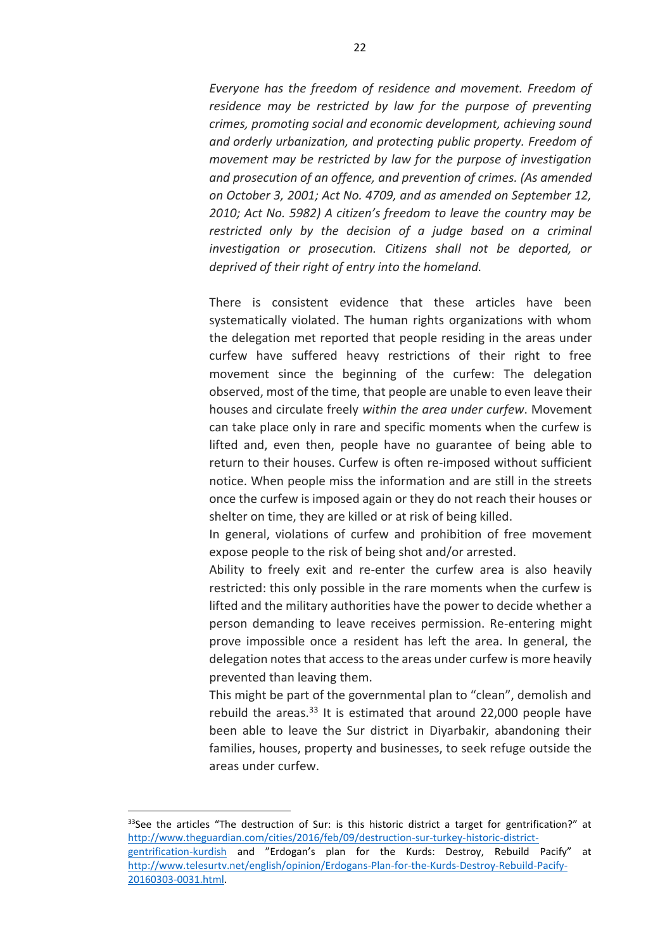*Everyone has the freedom of residence and movement. Freedom of residence may be restricted by law for the purpose of preventing crimes, promoting social and economic development, achieving sound and orderly urbanization, and protecting public property. Freedom of movement may be restricted by law for the purpose of investigation and prosecution of an offence, and prevention of crimes. (As amended on October 3, 2001; Act No. 4709, and as amended on September 12, 2010; Act No. 5982) A citizen's freedom to leave the country may be restricted only by the decision of a judge based on a criminal investigation or prosecution. Citizens shall not be deported, or deprived of their right of entry into the homeland.*

There is consistent evidence that these articles have been systematically violated. The human rights organizations with whom the delegation met reported that people residing in the areas under curfew have suffered heavy restrictions of their right to free movement since the beginning of the curfew: The delegation observed, most of the time, that people are unable to even leave their houses and circulate freely *within the area under curfew*. Movement can take place only in rare and specific moments when the curfew is lifted and, even then, people have no guarantee of being able to return to their houses. Curfew is often re-imposed without sufficient notice. When people miss the information and are still in the streets once the curfew is imposed again or they do not reach their houses or shelter on time, they are killed or at risk of being killed.

In general, violations of curfew and prohibition of free movement expose people to the risk of being shot and/or arrested.

Ability to freely exit and re-enter the curfew area is also heavily restricted: this only possible in the rare moments when the curfew is lifted and the military authorities have the power to decide whether a person demanding to leave receives permission. Re-entering might prove impossible once a resident has left the area. In general, the delegation notes that access to the areas under curfew is more heavily prevented than leaving them.

This might be part of the governmental plan to "clean", demolish and rebuild the areas. $33$  It is estimated that around 22,000 people have been able to leave the Sur district in Diyarbakir, abandoning their families, houses, property and businesses, to seek refuge outside the areas under curfew.

 $\overline{a}$ 

 $33$ See the articles "The destruction of Sur: is this historic district a target for gentrification?" at [http://www.theguardian.com/cities/2016/feb/09/destruction-sur-turkey-historic-district-](http://www.theguardian.com/cities/2016/feb/09/destruction-sur-turkey-historic-district-gentrification-kurdish)

[gentrification-kurdish](http://www.theguardian.com/cities/2016/feb/09/destruction-sur-turkey-historic-district-gentrification-kurdish) and "Erdogan's plan for the Kurds: Destroy, Rebuild Pacify" at [http://www.telesurtv.net/english/opinion/Erdogans-Plan-for-the-Kurds-Destroy-Rebuild-Pacify-](http://www.telesurtv.net/english/opinion/Erdogans-Plan-for-the-Kurds-Destroy-Rebuild-Pacify-20160303-0031.html)[20160303-0031.html.](http://www.telesurtv.net/english/opinion/Erdogans-Plan-for-the-Kurds-Destroy-Rebuild-Pacify-20160303-0031.html)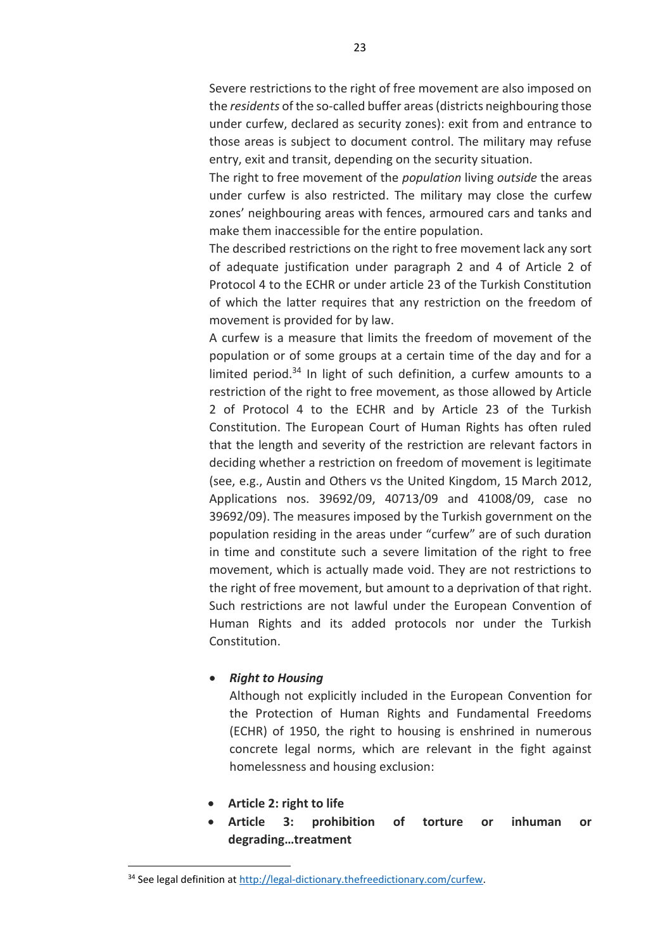Severe restrictions to the right of free movement are also imposed on the *residents* of the so-called buffer areas (districts neighbouring those under curfew, declared as security zones): exit from and entrance to those areas is subject to document control. The military may refuse entry, exit and transit, depending on the security situation.

The right to free movement of the *population* living *outside* the areas under curfew is also restricted. The military may close the curfew zones' neighbouring areas with fences, armoured cars and tanks and make them inaccessible for the entire population.

The described restrictions on the right to free movement lack any sort of adequate justification under paragraph 2 and 4 of Article 2 of Protocol 4 to the ECHR or under article 23 of the Turkish Constitution of which the latter requires that any restriction on the freedom of movement is provided for by law.

A curfew is a measure that limits the freedom of movement of the population or of some groups at a certain time of the day and for a limited period. $34$  In light of such definition, a curfew amounts to a restriction of the right to free movement, as those allowed by Article 2 of Protocol 4 to the ECHR and by Article 23 of the Turkish Constitution. The European Court of Human Rights has often ruled that the length and severity of the restriction are relevant factors in deciding whether a restriction on freedom of movement is legitimate (see, e.g., Austin and Others vs the United Kingdom, 15 March 2012, Applications nos. 39692/09, 40713/09 and 41008/09, case no 39692/09). The measures imposed by the Turkish government on the population residing in the areas under "curfew" are of such duration in time and constitute such a severe limitation of the right to free movement, which is actually made void. They are not restrictions to the right of free movement, but amount to a deprivation of that right. Such restrictions are not lawful under the European Convention of Human Rights and its added protocols nor under the Turkish Constitution.

### *Right to Housing*

Although not explicitly included in the European Convention for the Protection of Human Rights and Fundamental Freedoms (ECHR) of 1950, the right to housing is enshrined in numerous concrete legal norms, which are relevant in the fight against homelessness and housing exclusion:

**Article 2: right to life**

 $\overline{\phantom{a}}$ 

 **Article 3: prohibition of torture or inhuman or degrading…treatment**

<sup>&</sup>lt;sup>34</sup> See legal definition at [http://legal-dictionary.thefreedictionary.com/curfew.](http://legal-dictionary.thefreedictionary.com/curfew)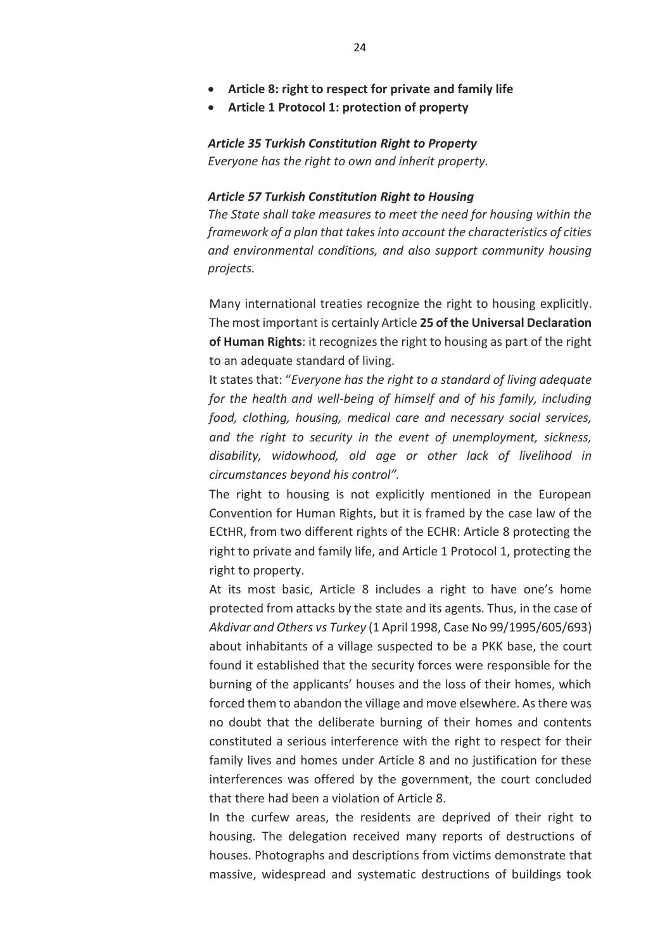- **Article 8: right to respect for private and family life**
- **Article 1 Protocol 1: protection of property**

*Article 35 Turkish Constitution Right to Property Everyone has the right to own and inherit property.*

#### *Article 57 Turkish Constitution Right to Housing*

*The State shall take measures to meet the need for housing within the framework of a plan that takes into account the characteristics of cities and environmental conditions, and also support community housing projects.*

Many international treaties recognize the right to housing explicitly. The most important is certainly Article **25 of the Universal Declaration of Human Rights**: it recognizes the right to housing as part of the right to an adequate standard of living.

It states that: "*Everyone has the right to a standard of living adequate for the health and well-being of himself and of his family, including food, clothing, housing, medical care and necessary social services, and the right to security in the event of unemployment, sickness, disability, widowhood, old age or other lack of livelihood in circumstances beyond his control".*

The right to housing is not explicitly mentioned in the European Convention for Human Rights, but it is framed by the case law of the ECtHR, from two different rights of the ECHR: Article 8 protecting the right to private and family life, and Article 1 Protocol 1, protecting the right to property.

At its most basic, Article 8 includes a right to have one's home protected from attacks by the state and its agents. Thus, in the case of *Akdivar and Others vs Turkey* (1 April 1998, Case No 99/1995/605/693) about inhabitants of a village suspected to be a PKK base, the court found it established that the security forces were responsible for the burning of the applicants' houses and the loss of their homes, which forced them to abandon the village and move elsewhere. As there was no doubt that the deliberate burning of their homes and contents constituted a serious interference with the right to respect for their family lives and homes under Article 8 and no justification for these interferences was offered by the government, the court concluded that there had been a violation of Article 8.

In the curfew areas, the residents are deprived of their right to housing. The delegation received many reports of destructions of houses. Photographs and descriptions from victims demonstrate that massive, widespread and systematic destructions of buildings took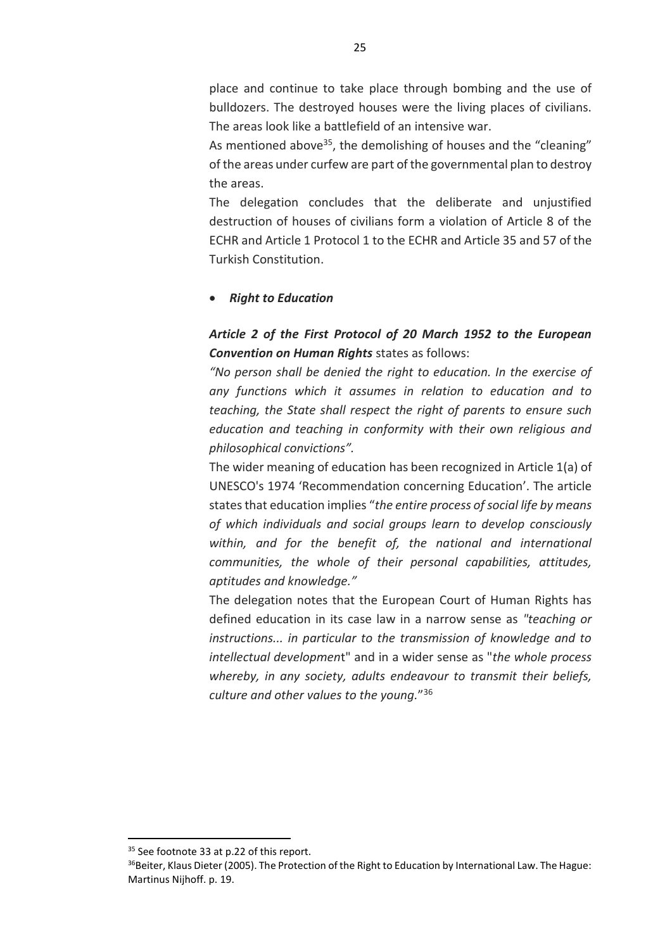place and continue to take place through bombing and the use of bulldozers. The destroyed houses were the living places of civilians. The areas look like a battlefield of an intensive war.

As mentioned above<sup>35</sup>, the demolishing of houses and the "cleaning" of the areas under curfew are part of the governmental plan to destroy the areas.

The delegation concludes that the deliberate and unjustified destruction of houses of civilians form a violation of Article 8 of the ECHR and Article 1 Protocol 1 to the ECHR and Article 35 and 57 of the Turkish Constitution.

#### *Right to Education*

# *Article 2 of the First Protocol of 20 March 1952 to the European Convention on Human Rights* states as follows:

*"No person shall be denied the right to education. In the exercise of any functions which it assumes in relation to education and to teaching, the State shall respect the right of parents to ensure such education and teaching in conformity with their own religious and philosophical convictions".*

The wider meaning of education has been recognized in Article 1(a) of UNESCO's 1974 'Recommendation concerning Education'. The article states that education implies "*the entire process of social life by means of which individuals and social groups learn to develop consciously within, and for the benefit of, the national and international communities, the whole of their personal capabilities, attitudes, aptitudes and knowledge."*

The delegation notes that the European Court of Human Rights has defined education in its case law in a narrow sense as *"teaching or instructions... in particular to the transmission of knowledge and to intellectual developmen*t" and in a wider sense as "*the whole process whereby, in any society, adults endeavour to transmit their beliefs, culture and other values to the young.*" 36

l

<sup>&</sup>lt;sup>35</sup> See footnote 33 at p.22 of this report.

<sup>&</sup>lt;sup>36</sup>Beiter, Klaus Dieter (2005). The Protection of the Right to Education by International Law. The Hague: Martinus Nijhoff. p. 19.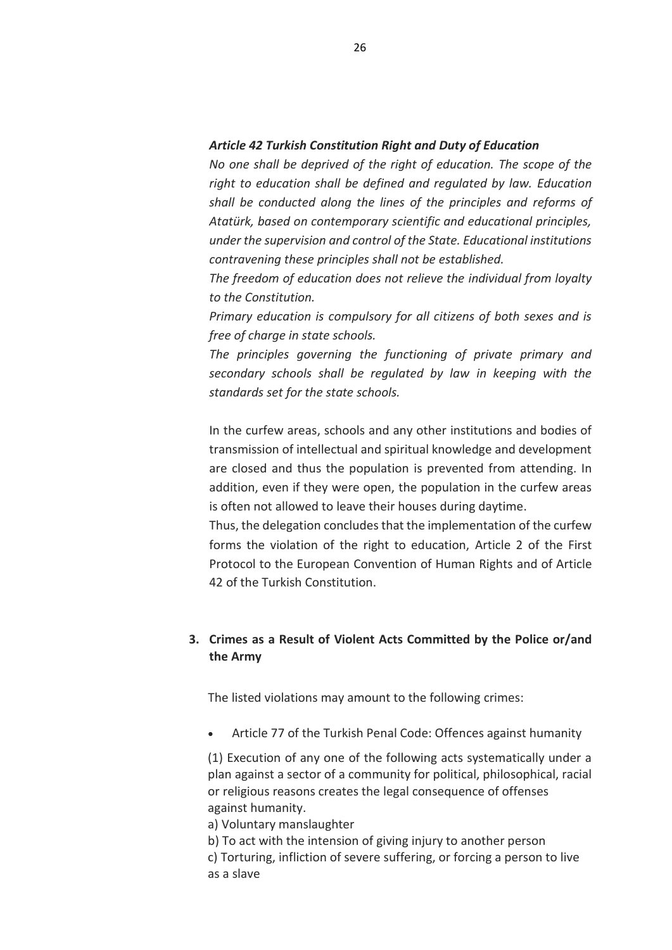#### *Article 42 Turkish Constitution Right and Duty of Education*

*No one shall be deprived of the right of education. The scope of the right to education shall be defined and regulated by law. Education shall be conducted along the lines of the principles and reforms of Atatürk, based on contemporary scientific and educational principles, under the supervision and control of the State. Educational institutions contravening these principles shall not be established.*

*The freedom of education does not relieve the individual from loyalty to the Constitution.*

*Primary education is compulsory for all citizens of both sexes and is free of charge in state schools.*

*The principles governing the functioning of private primary and secondary schools shall be regulated by law in keeping with the standards set for the state schools.*

In the curfew areas, schools and any other institutions and bodies of transmission of intellectual and spiritual knowledge and development are closed and thus the population is prevented from attending. In addition, even if they were open, the population in the curfew areas is often not allowed to leave their houses during daytime.

Thus, the delegation concludes that the implementation of the curfew forms the violation of the right to education, Article 2 of the First Protocol to the European Convention of Human Rights and of Article 42 of the Turkish Constitution.

### **3. Crimes as a Result of Violent Acts Committed by the Police or/and the Army**

The listed violations may amount to the following crimes:

Article 77 of the Turkish Penal Code: Offences against humanity

(1) Execution of any one of the following acts systematically under a plan against a sector of a community for political, philosophical, racial or religious reasons creates the legal consequence of offenses against humanity.

a) Voluntary manslaughter

- b) To act with the intension of giving injury to another person
- c) Torturing, infliction of severe suffering, or forcing a person to live as a slave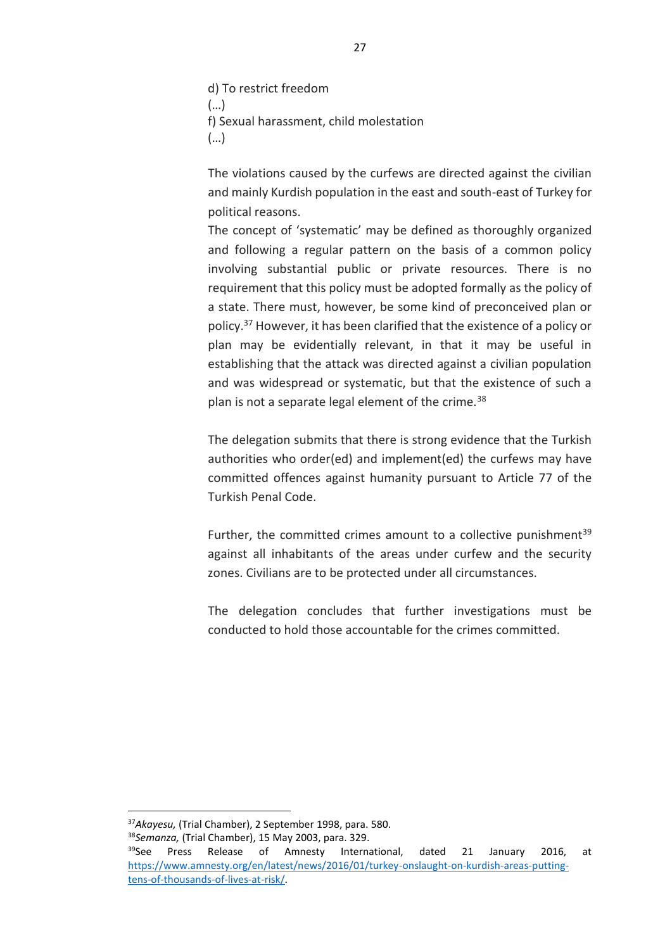d) To restrict freedom (…) f) Sexual harassment, child molestation (…)

The violations caused by the curfews are directed against the civilian and mainly Kurdish population in the east and south-east of Turkey for political reasons.

The concept of 'systematic' may be defined as thoroughly organized and following a regular pattern on the basis of a common policy involving substantial public or private resources. There is no requirement that this policy must be adopted formally as the policy of a state. There must, however, be some kind of preconceived plan or policy.<sup>37</sup> However, it has been clarified that the existence of a policy or plan may be evidentially relevant, in that it may be useful in establishing that the attack was directed against a civilian population and was widespread or systematic, but that the existence of such a plan is not a separate legal element of the crime.<sup>38</sup>

The delegation submits that there is strong evidence that the Turkish authorities who order(ed) and implement(ed) the curfews may have committed offences against humanity pursuant to Article 77 of the Turkish Penal Code.

Further, the committed crimes amount to a collective punishment<sup>39</sup> against all inhabitants of the areas under curfew and the security zones. Civilians are to be protected under all circumstances.

The delegation concludes that further investigations must be conducted to hold those accountable for the crimes committed.

 $\overline{a}$ 

<sup>37</sup>*Akayesu,* (Trial Chamber), 2 September 1998, para. 580. <sup>38</sup>*Semanza,* (Trial Chamber), 15 May 2003, para. 329.

<sup>&</sup>lt;sup>39</sup>See Press Release of Amnesty International, dated 21 January 2016, at [https://www.amnesty.org/en/latest/news/2016/01/turkey-onslaught-on-kurdish-areas-putting](https://www.amnesty.org/en/latest/news/2016/01/turkey-onslaught-on-kurdish-areas-putting-tens-of-thousands-of-lives-at-risk/)[tens-of-thousands-of-lives-at-risk/.](https://www.amnesty.org/en/latest/news/2016/01/turkey-onslaught-on-kurdish-areas-putting-tens-of-thousands-of-lives-at-risk/)